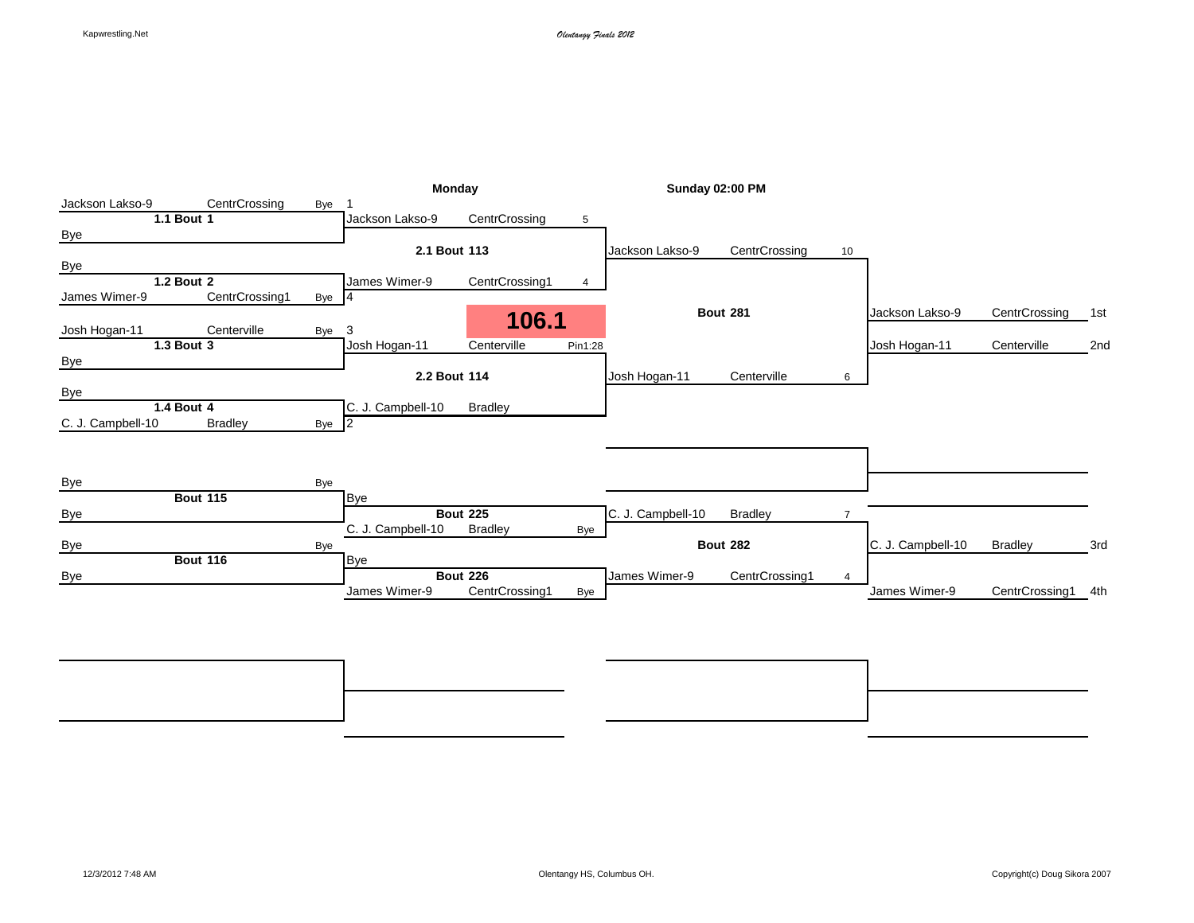|                   |                 |       | Monday            |                 |                | <b>Sunday 02:00 PM</b> |                 |                |                   |                |     |
|-------------------|-----------------|-------|-------------------|-----------------|----------------|------------------------|-----------------|----------------|-------------------|----------------|-----|
| Jackson Lakso-9   | CentrCrossing   | Bye   |                   |                 |                |                        |                 |                |                   |                |     |
|                   | 1.1 Bout 1      |       | Jackson Lakso-9   | CentrCrossing   | 5              |                        |                 |                |                   |                |     |
| <b>Bye</b>        |                 |       |                   |                 |                |                        |                 |                |                   |                |     |
|                   |                 |       | 2.1 Bout 113      |                 |                | Jackson Lakso-9        | CentrCrossing   | 10             |                   |                |     |
| Bye               |                 |       |                   |                 |                |                        |                 |                |                   |                |     |
|                   | 1.2 Bout 2      |       | James Wimer-9     | CentrCrossing1  | $\overline{4}$ |                        |                 |                |                   |                |     |
| James Wimer-9     | CentrCrossing1  | Bye 4 |                   |                 |                |                        |                 |                |                   |                |     |
|                   | Centerville     |       | 3                 | 106.1           |                |                        | <b>Bout 281</b> |                | Jackson Lakso-9   | CentrCrossing  | 1st |
| Josh Hogan-11     | 1.3 Bout 3      | Bye   | Josh Hogan-11     | Centerville     | Pin1:28        |                        |                 |                | Josh Hogan-11     | Centerville    | 2nd |
| <b>Bye</b>        |                 |       |                   |                 |                |                        |                 |                |                   |                |     |
|                   |                 |       | 2.2 Bout 114      |                 |                | Josh Hogan-11          | Centerville     | 6              |                   |                |     |
| Bye               |                 |       |                   |                 |                |                        |                 |                |                   |                |     |
|                   | 1.4 Bout 4      |       | C. J. Campbell-10 | <b>Bradley</b>  |                |                        |                 |                |                   |                |     |
| C. J. Campbell-10 | <b>Bradley</b>  | Bye 2 |                   |                 |                |                        |                 |                |                   |                |     |
|                   |                 |       |                   |                 |                |                        |                 |                |                   |                |     |
|                   |                 |       |                   |                 |                |                        |                 |                |                   |                |     |
| <b>Bye</b>        |                 | Bye   |                   |                 |                |                        |                 |                |                   |                |     |
|                   | <b>Bout 115</b> |       | <b>Bye</b>        |                 |                |                        |                 |                |                   |                |     |
| <b>Bye</b>        |                 |       |                   | <b>Bout 225</b> |                | C. J. Campbell-10      | <b>Bradley</b>  | $\overline{7}$ |                   |                |     |
|                   |                 |       | C. J. Campbell-10 | <b>Bradley</b>  | Bye            |                        |                 |                |                   |                |     |
| <b>Bye</b>        |                 | Bye   |                   |                 |                |                        | <b>Bout 282</b> |                | C. J. Campbell-10 | <b>Bradley</b> | 3rd |
|                   | <b>Bout 116</b> |       | <b>Bye</b>        |                 |                |                        |                 |                |                   |                |     |
| <b>Bye</b>        |                 |       |                   | <b>Bout 226</b> |                | James Wimer-9          | CentrCrossing1  | 4              |                   |                |     |
|                   |                 |       | James Wimer-9     | CentrCrossing1  | Bye            |                        |                 |                | James Wimer-9     | CentrCrossing1 | 4th |
|                   |                 |       |                   |                 |                |                        |                 |                |                   |                |     |
|                   |                 |       |                   |                 |                |                        |                 |                |                   |                |     |
|                   |                 |       |                   |                 |                |                        |                 |                |                   |                |     |

**Bout 338** 7th **Bout 337** 5th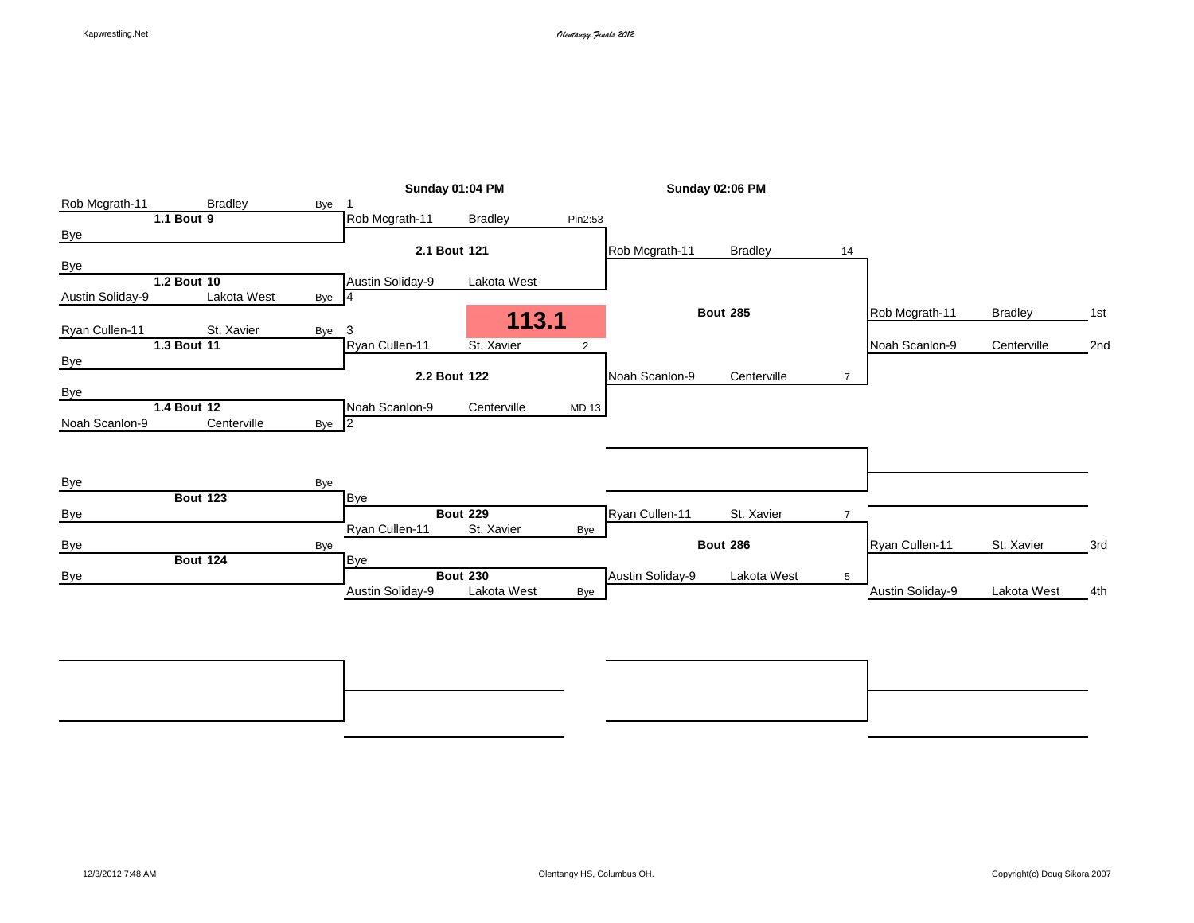|                   |                 |       |                                | Sunday 01:04 PM |                |                  | Sunday 02:06 PM                |                |                                    |                           |     |
|-------------------|-----------------|-------|--------------------------------|-----------------|----------------|------------------|--------------------------------|----------------|------------------------------------|---------------------------|-----|
| Rob Mcgrath-11    | <b>Bradley</b>  | Bye   |                                |                 |                |                  |                                |                |                                    |                           |     |
|                   | 1.1 Bout 9      |       | Rob Mcgrath-11                 | <b>Bradley</b>  | Pin2:53        |                  |                                |                |                                    |                           |     |
| <b>Bye</b>        |                 |       |                                |                 |                |                  |                                |                |                                    |                           |     |
|                   |                 |       |                                | 2.1 Bout 121    |                | Rob Mcgrath-11   | <b>Bradley</b>                 | 14             |                                    |                           |     |
| Bye               |                 |       |                                |                 |                |                  |                                |                |                                    |                           |     |
|                   | 1.2 Bout 10     |       | Austin Soliday-9               | Lakota West     |                |                  |                                |                |                                    |                           |     |
| Austin Soliday-9  | Lakota West     | Bye 4 |                                |                 |                |                  |                                |                |                                    |                           |     |
|                   | St. Xavier      |       |                                | 113.1           |                |                  | <b>Bout 285</b>                |                | Rob Mcgrath-11                     | <b>Bradley</b>            | 1st |
| Ryan Cullen-11    | 1.3 Bout 11     | Bye   | 3<br>Ryan Cullen-11            | St. Xavier      | $\overline{2}$ |                  |                                |                | Noah Scanlon-9                     | Centerville               | 2nd |
| <b>Bye</b>        |                 |       |                                |                 |                |                  |                                |                |                                    |                           |     |
|                   |                 |       |                                | 2.2 Bout 122    |                | Noah Scanlon-9   | Centerville                    | $\overline{7}$ |                                    |                           |     |
| Bye               |                 |       |                                |                 |                |                  |                                |                |                                    |                           |     |
|                   | 1.4 Bout 12     |       | Noah Scanlon-9                 | Centerville     | MD 13          |                  |                                |                |                                    |                           |     |
| Noah Scanlon-9    | Centerville     | Bye 2 |                                |                 |                |                  |                                |                |                                    |                           |     |
|                   |                 |       |                                |                 |                |                  |                                |                |                                    |                           |     |
|                   |                 |       |                                |                 |                |                  |                                |                |                                    |                           |     |
| Bye               |                 | Bye   |                                |                 |                |                  |                                |                |                                    |                           |     |
|                   | <b>Bout 123</b> |       | <b>Bye</b>                     |                 |                |                  |                                |                |                                    |                           |     |
| <b>Bye</b>        |                 |       |                                | <b>Bout 229</b> |                | Ryan Cullen-11   | St. Xavier                     | $\overline{7}$ |                                    |                           |     |
|                   |                 |       | Ryan Cullen-11                 | St. Xavier      | Bye            |                  |                                |                |                                    |                           |     |
|                   |                 |       |                                |                 |                |                  |                                |                |                                    |                           | 3rd |
|                   |                 |       |                                |                 |                |                  |                                |                |                                    |                           |     |
|                   |                 |       |                                | <b>Bout 230</b> |                |                  |                                | 5              |                                    |                           |     |
|                   |                 |       |                                |                 |                |                  |                                |                |                                    |                           | 4th |
|                   |                 |       |                                |                 |                |                  |                                |                |                                    |                           |     |
| <b>Bye</b><br>Bye | <b>Bout 124</b> | Bye   | <b>Bye</b><br>Austin Soliday-9 | Lakota West     | Bye            | Austin Soliday-9 | <b>Bout 286</b><br>Lakota West |                | Ryan Cullen-11<br>Austin Soliday-9 | St. Xavier<br>Lakota West |     |

**Bout 342** 7th **Bout 341** 5th Bye Bye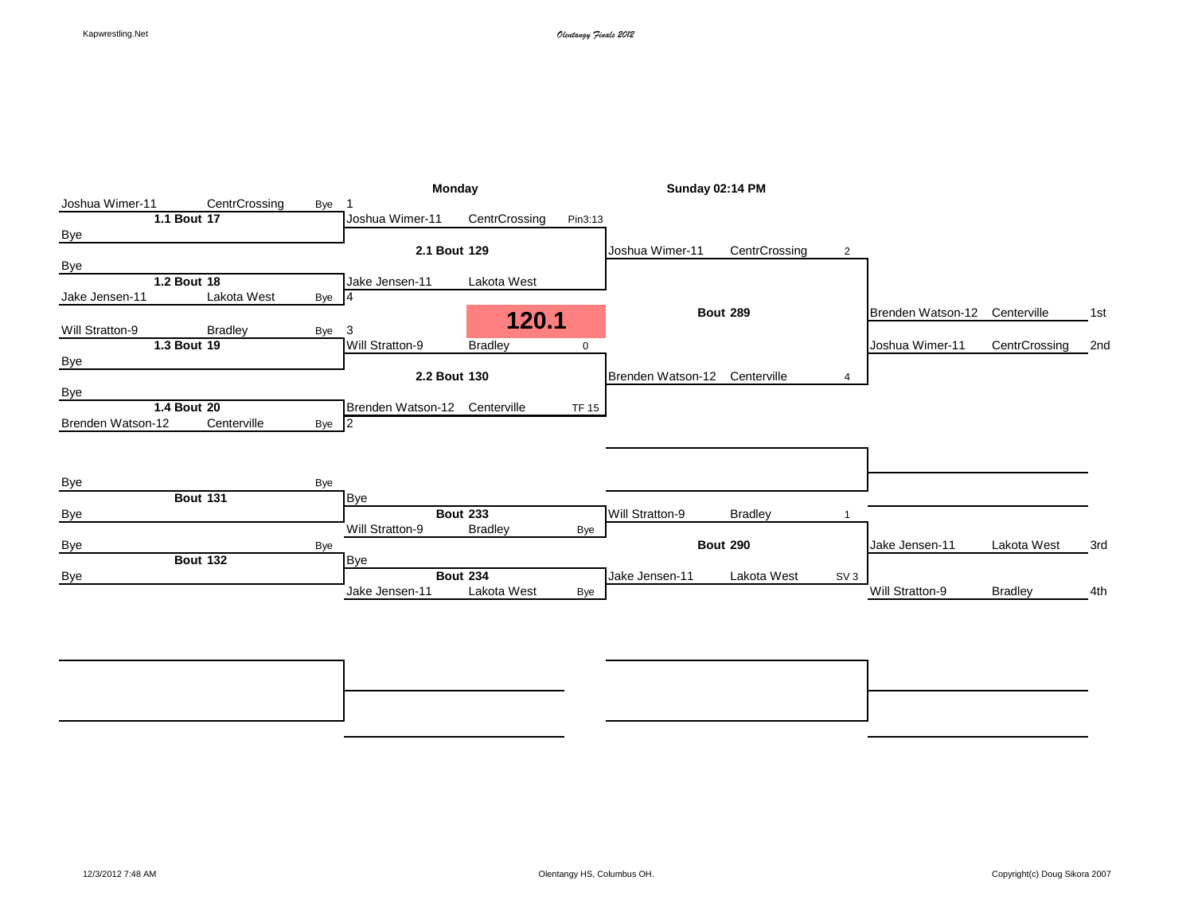|                   |                 |                      | Monday            |                 |              |                   | <b>Sunday 02:14 PM</b> |                 |                   |                |     |
|-------------------|-----------------|----------------------|-------------------|-----------------|--------------|-------------------|------------------------|-----------------|-------------------|----------------|-----|
| Joshua Wimer-11   |                 | CentrCrossing<br>Bye |                   |                 |              |                   |                        |                 |                   |                |     |
|                   | 1.1 Bout 17     |                      | Joshua Wimer-11   | CentrCrossing   | Pin3:13      |                   |                        |                 |                   |                |     |
| <b>Bye</b>        |                 |                      |                   |                 |              |                   |                        |                 |                   |                |     |
|                   |                 |                      |                   | 2.1 Bout 129    |              | Joshua Wimer-11   | CentrCrossing          | 2               |                   |                |     |
| Bye               |                 |                      |                   |                 |              |                   |                        |                 |                   |                |     |
|                   | 1.2 Bout 18     |                      | Jake Jensen-11    | Lakota West     |              |                   |                        |                 |                   |                |     |
| Jake Jensen-11    |                 | Lakota West          | Bye 4             |                 |              |                   |                        |                 |                   |                |     |
| Will Stratton-9   | <b>Bradley</b>  | Bye                  | 3                 | 120.1           |              |                   | <b>Bout 289</b>        |                 | Brenden Watson-12 | Centerville    | 1st |
|                   | 1.3 Bout 19     |                      | Will Stratton-9   | <b>Bradley</b>  | 0            |                   |                        |                 | Joshua Wimer-11   | CentrCrossing  | 2nd |
| Bye               |                 |                      |                   |                 |              |                   |                        |                 |                   |                |     |
|                   |                 |                      |                   | 2.2 Bout 130    |              | Brenden Watson-12 | Centerville            | 4               |                   |                |     |
| Bye               |                 |                      |                   |                 |              |                   |                        |                 |                   |                |     |
|                   | 1.4 Bout 20     |                      | Brenden Watson-12 | Centerville     | <b>TF 15</b> |                   |                        |                 |                   |                |     |
| Brenden Watson-12 |                 | Centerville          | Bye 2             |                 |              |                   |                        |                 |                   |                |     |
|                   |                 |                      |                   |                 |              |                   |                        |                 |                   |                |     |
|                   |                 |                      |                   |                 |              |                   |                        |                 |                   |                |     |
|                   |                 |                      |                   |                 |              |                   |                        |                 |                   |                |     |
| Bye               |                 | Bye                  |                   |                 |              |                   |                        |                 |                   |                |     |
|                   | <b>Bout 131</b> |                      | <b>Bye</b>        |                 |              |                   |                        |                 |                   |                |     |
| <b>Bye</b>        |                 |                      |                   | <b>Bout 233</b> |              | Will Stratton-9   | <b>Bradley</b>         |                 |                   |                |     |
|                   |                 |                      | Will Stratton-9   | <b>Bradley</b>  | Bye          |                   |                        |                 |                   |                |     |
| <b>Bye</b>        | <b>Bout 132</b> | Bye                  |                   |                 |              |                   | <b>Bout 290</b>        |                 | Jake Jensen-11    | Lakota West    | 3rd |
|                   |                 |                      | <b>Bye</b>        | <b>Bout 234</b> |              | Jake Jensen-11    | Lakota West            |                 |                   |                |     |
| Bye               |                 |                      | Jake Jensen-11    | Lakota West     |              |                   |                        | SV <sub>3</sub> | Will Stratton-9   | <b>Bradley</b> | 4th |
|                   |                 |                      |                   |                 | Bye          |                   |                        |                 |                   |                |     |
|                   |                 |                      |                   |                 |              |                   |                        |                 |                   |                |     |
|                   |                 |                      |                   |                 |              |                   |                        |                 |                   |                |     |

**Bout 346** 7th **Bout 345** 5th Bye Bye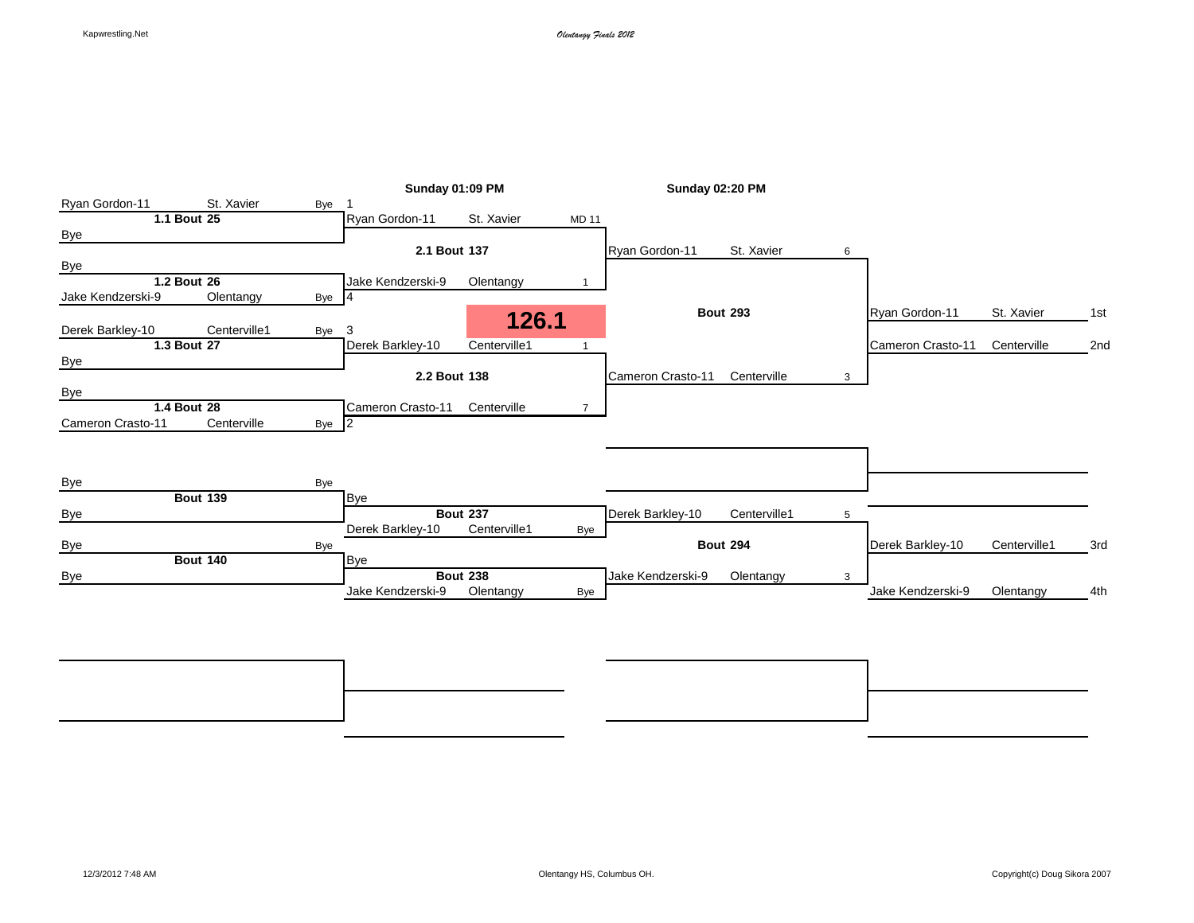|                   |                 |       |                   | <b>Sunday 01:09 PM</b> |                | <b>Sunday 02:20 PM</b> |                 |   |                   |              |     |
|-------------------|-----------------|-------|-------------------|------------------------|----------------|------------------------|-----------------|---|-------------------|--------------|-----|
| Ryan Gordon-11    | St. Xavier      | Bye   |                   |                        |                |                        |                 |   |                   |              |     |
|                   | 1.1 Bout 25     |       | Ryan Gordon-11    | St. Xavier             | <b>MD 11</b>   |                        |                 |   |                   |              |     |
| <b>Bye</b>        |                 |       |                   |                        |                |                        |                 |   |                   |              |     |
|                   |                 |       | 2.1 Bout 137      |                        |                | Ryan Gordon-11         | St. Xavier      | 6 |                   |              |     |
| Bye               |                 |       |                   |                        |                |                        |                 |   |                   |              |     |
|                   | 1.2 Bout 26     |       | Jake Kendzerski-9 | Olentangy              |                |                        |                 |   |                   |              |     |
| Jake Kendzerski-9 | Olentangy       | Bye 4 |                   |                        |                |                        |                 |   |                   |              |     |
|                   |                 |       |                   | 126.1                  |                |                        | <b>Bout 293</b> |   | Rvan Gordon-11    | St. Xavier   | 1st |
| Derek Barkley-10  | Centerville1    | Bye   | 3                 |                        |                |                        |                 |   |                   |              |     |
|                   | 1.3 Bout 27     |       | Derek Barkley-10  | Centerville1           |                |                        |                 |   | Cameron Crasto-11 | Centerville  | 2nd |
| <b>Bye</b>        |                 |       |                   |                        |                |                        |                 |   |                   |              |     |
|                   |                 |       | 2.2 Bout 138      |                        |                | Cameron Crasto-11      | Centerville     | 3 |                   |              |     |
| Bye               |                 |       |                   |                        |                |                        |                 |   |                   |              |     |
|                   | 1.4 Bout 28     |       | Cameron Crasto-11 | Centerville            | $\overline{7}$ |                        |                 |   |                   |              |     |
| Cameron Crasto-11 | Centerville     | Bye 2 |                   |                        |                |                        |                 |   |                   |              |     |
|                   |                 |       |                   |                        |                |                        |                 |   |                   |              |     |
|                   |                 |       |                   |                        |                |                        |                 |   |                   |              |     |
| <b>Bye</b>        |                 | Bye   |                   |                        |                |                        |                 |   |                   |              |     |
|                   | <b>Bout 139</b> |       | <b>Bye</b>        |                        |                |                        |                 |   |                   |              |     |
| <b>Bye</b>        |                 |       |                   | <b>Bout 237</b>        |                | Derek Barkley-10       | Centerville1    | 5 |                   |              |     |
|                   |                 |       | Derek Barkley-10  | Centerville1           | Bye            |                        |                 |   |                   |              |     |
| <b>Bye</b>        |                 | Bye   |                   |                        |                |                        | <b>Bout 294</b> |   | Derek Barkley-10  | Centerville1 | 3rd |
|                   | <b>Bout 140</b> |       | <b>Bye</b>        |                        |                |                        |                 |   |                   |              |     |
| <b>Bye</b>        |                 |       |                   | <b>Bout 238</b>        |                | Jake Kendzerski-9      | Olentangy       | 3 |                   |              |     |
|                   |                 |       | Jake Kendzerski-9 | Olentangy              | Bye            |                        |                 |   | Jake Kendzerski-9 | Olentangy    | 4th |
|                   |                 |       |                   |                        |                |                        |                 |   |                   |              |     |
|                   |                 |       |                   |                        |                |                        |                 |   |                   |              |     |

**Bout 350** 7th **Bout 349** 5th Bye Bye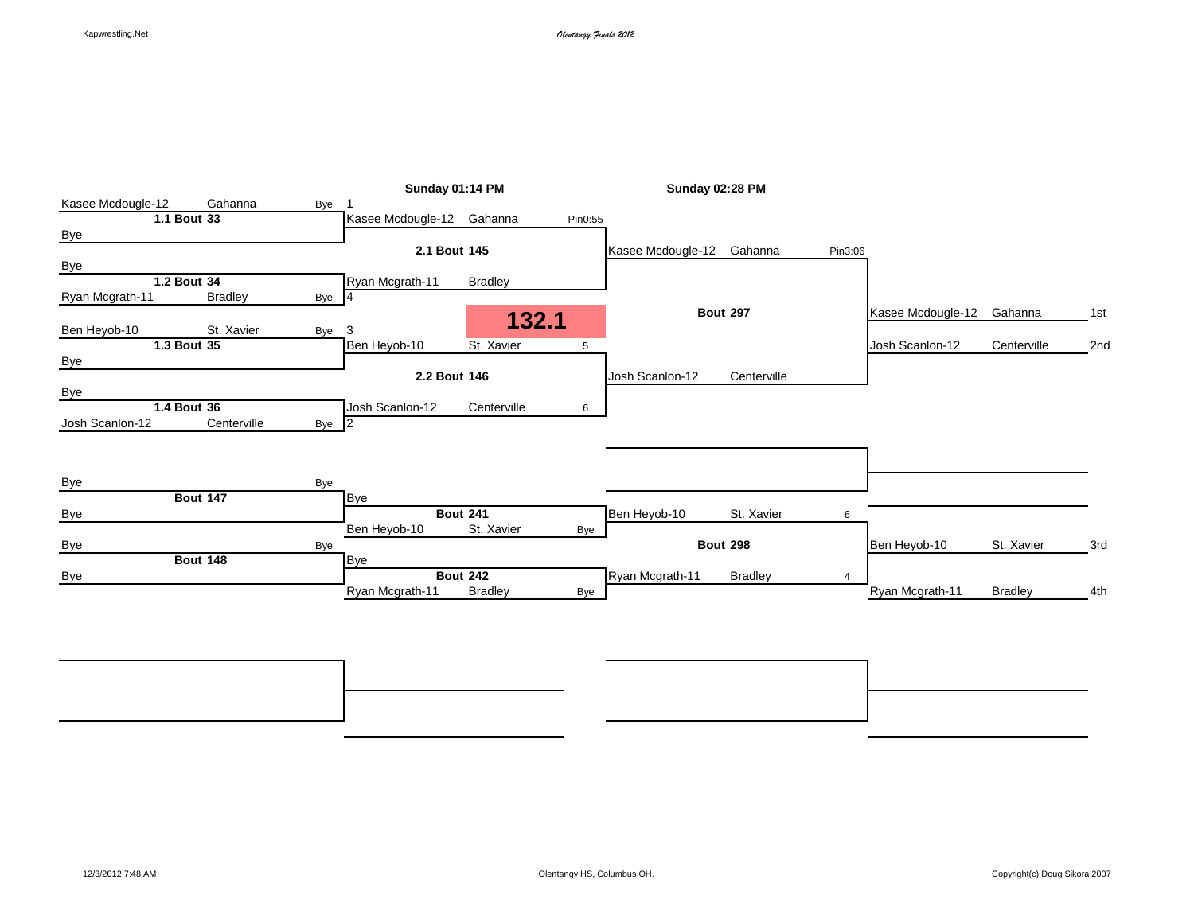| Gahanna<br>Bye<br>Bye 4<br>St. Xavier<br>Bye | Sunday 01:14 PM<br>Kasee Mcdougle-12 Gahanna<br>2.1 Bout 145<br>Ryan Mcgrath-11<br>3 | <b>Bradley</b><br>132.1    | Pin0:55                                                          | Sunday 02:28 PM<br>Kasee Mcdougle-12 | Gahanna                         | Pin3:06                                         |                   |                 |            |
|----------------------------------------------|--------------------------------------------------------------------------------------|----------------------------|------------------------------------------------------------------|--------------------------------------|---------------------------------|-------------------------------------------------|-------------------|-----------------|------------|
|                                              |                                                                                      |                            |                                                                  |                                      |                                 |                                                 |                   |                 |            |
|                                              |                                                                                      |                            |                                                                  |                                      |                                 |                                                 |                   |                 |            |
|                                              |                                                                                      |                            |                                                                  |                                      |                                 |                                                 |                   |                 |            |
|                                              |                                                                                      |                            |                                                                  |                                      |                                 |                                                 |                   |                 |            |
|                                              |                                                                                      |                            |                                                                  |                                      |                                 |                                                 |                   |                 |            |
|                                              |                                                                                      |                            |                                                                  |                                      |                                 |                                                 |                   |                 |            |
|                                              |                                                                                      |                            |                                                                  |                                      |                                 |                                                 |                   |                 |            |
|                                              |                                                                                      |                            |                                                                  |                                      | <b>Bout 297</b>                 |                                                 | Kasee Mcdougle-12 | Gahanna         | 1st        |
|                                              |                                                                                      |                            |                                                                  |                                      |                                 |                                                 |                   |                 |            |
|                                              | Ben Heyob 10                                                                         | St. Xavier                 | 5                                                                |                                      |                                 |                                                 | Josh Scanlon-12   | Centerville     | 2nd        |
|                                              |                                                                                      |                            |                                                                  |                                      |                                 |                                                 |                   |                 |            |
|                                              |                                                                                      |                            |                                                                  | Josh Scanlon-12                      | Centerville                     |                                                 |                   |                 |            |
|                                              |                                                                                      |                            |                                                                  |                                      |                                 |                                                 |                   |                 |            |
|                                              | Josh Scanlon-12                                                                      | Centerville                | 6                                                                |                                      |                                 |                                                 |                   |                 |            |
|                                              | $\overline{2}$                                                                       |                            |                                                                  |                                      |                                 |                                                 |                   |                 |            |
|                                              |                                                                                      |                            |                                                                  |                                      |                                 |                                                 |                   |                 |            |
|                                              |                                                                                      |                            |                                                                  |                                      |                                 |                                                 |                   |                 |            |
|                                              |                                                                                      |                            |                                                                  |                                      |                                 |                                                 |                   |                 |            |
| Bye                                          |                                                                                      |                            |                                                                  |                                      |                                 |                                                 |                   |                 |            |
|                                              |                                                                                      |                            |                                                                  |                                      |                                 |                                                 |                   |                 |            |
|                                              |                                                                                      |                            |                                                                  |                                      |                                 | 6                                               |                   |                 |            |
|                                              |                                                                                      |                            | Bye                                                              |                                      |                                 |                                                 |                   |                 |            |
| Bye                                          |                                                                                      |                            |                                                                  |                                      |                                 |                                                 | Ben Heyob-10      |                 | 3rd        |
|                                              | Bye                                                                                  |                            |                                                                  |                                      |                                 |                                                 |                   |                 |            |
|                                              |                                                                                      |                            |                                                                  |                                      |                                 | 4                                               |                   |                 |            |
|                                              | Ryan Mcgrath-11                                                                      | <b>Bradley</b>             | Bye                                                              |                                      |                                 |                                                 |                   | <b>Bradley</b>  | 4th        |
|                                              | Centerville                                                                          | Bye<br>Bye<br>Ben Heyob-10 | 2.2 Bout 146<br><b>Bout 241</b><br>St. Xavier<br><b>Bout 242</b> |                                      | Ben Heyob-10<br>Ryan Mcgrath-11 | St. Xavier<br><b>Bout 298</b><br><b>Bradley</b> |                   | Ryan Mcgrath-11 | St. Xavier |

**Bout 354** 7th **Bout 353** 5th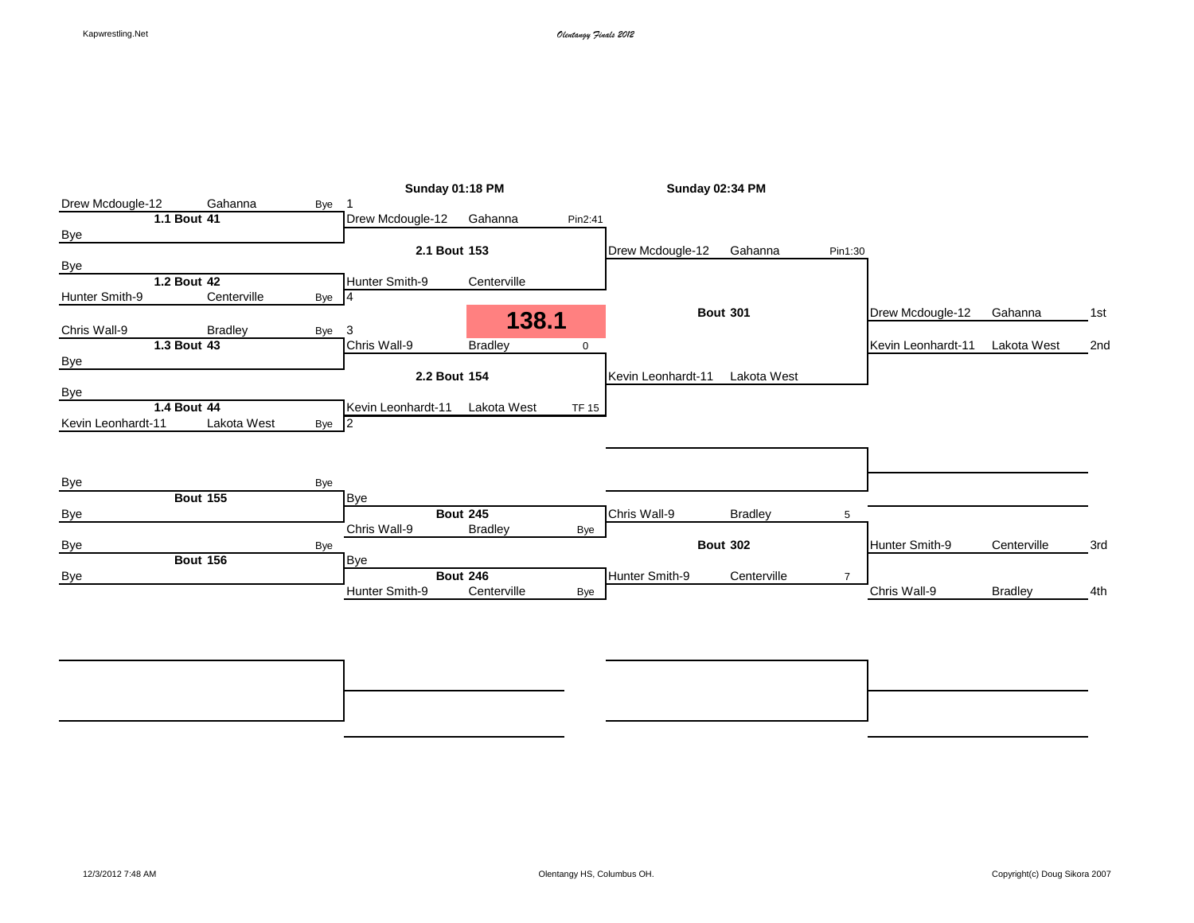|                    |                 | <b>Sunday 01:18 PM</b> |                    |                 |             | Sunday 02:34 PM    |                 |                |                    |                |     |
|--------------------|-----------------|------------------------|--------------------|-----------------|-------------|--------------------|-----------------|----------------|--------------------|----------------|-----|
| Drew Mcdougle-12   | Gahanna         | Bye                    |                    |                 |             |                    |                 |                |                    |                |     |
|                    | 1.1 Bout 41     |                        | Drew Mcdougle-12   | Gahanna         | Pin2:41     |                    |                 |                |                    |                |     |
| <b>Bye</b>         |                 |                        |                    |                 |             |                    |                 |                |                    |                |     |
|                    |                 |                        | 2.1 Bout 153       |                 |             | Drew Mcdougle-12   | Gahanna         | Pin1:30        |                    |                |     |
| <b>Bye</b>         |                 |                        |                    |                 |             |                    |                 |                |                    |                |     |
|                    | 1.2 Bout 42     |                        | Hunter Smith-9     | Centerville     |             |                    |                 |                |                    |                |     |
| Hunter Smith-9     | Centerville     | Bye                    | $\overline{4}$     |                 |             |                    |                 |                |                    |                |     |
|                    |                 |                        |                    | 138.1           |             |                    | <b>Bout 301</b> |                | Drew Mcdougle-12   | Gahanna        | 1st |
| Chris Wall-9       | <b>Bradley</b>  | Bye                    | 3                  |                 |             |                    |                 |                |                    |                |     |
|                    | 1.3 Bout 43     |                        | Chris Wall-9       | <b>Bradley</b>  | $\mathbf 0$ |                    |                 |                | Kevin Leonhardt-11 | Lakota West    | 2nd |
| <b>Bye</b>         |                 |                        |                    |                 |             |                    |                 |                |                    |                |     |
|                    |                 |                        | 2.2 Bout 154       |                 |             | Kevin Leonhardt-11 | Lakota West     |                |                    |                |     |
| Bye                |                 |                        |                    |                 |             |                    |                 |                |                    |                |     |
|                    | 1.4 Bout 44     |                        | Kevin Leonhardt-11 | Lakota West     | TF 15       |                    |                 |                |                    |                |     |
| Kevin Leonhardt-11 | Lakota West     | Bye 2                  |                    |                 |             |                    |                 |                |                    |                |     |
|                    |                 |                        |                    |                 |             |                    |                 |                |                    |                |     |
|                    |                 |                        |                    |                 |             |                    |                 |                |                    |                |     |
|                    |                 |                        |                    |                 |             |                    |                 |                |                    |                |     |
| <b>Bye</b>         |                 | Bye                    |                    |                 |             |                    |                 |                |                    |                |     |
|                    | <b>Bout 155</b> |                        | <b>Bye</b>         |                 |             |                    |                 |                |                    |                |     |
| Bye                |                 |                        |                    | <b>Bout 245</b> |             | Chris Wall-9       | <b>Bradley</b>  | 5              |                    |                |     |
|                    |                 |                        | Chris Wall-9       | <b>Bradley</b>  | Bye         |                    |                 |                |                    |                |     |
| <b>Bye</b>         |                 | Bye                    |                    |                 |             |                    | <b>Bout 302</b> |                | Hunter Smith-9     | Centerville    | 3rd |
|                    | <b>Bout 156</b> |                        | <b>Bye</b>         |                 |             |                    |                 |                |                    |                |     |
| <b>Bye</b>         |                 |                        |                    | <b>Bout 246</b> |             | Hunter Smith-9     | Centerville     | $\overline{7}$ |                    |                |     |
|                    |                 |                        | Hunter Smith-9     | Centerville     | Bye         |                    |                 |                | Chris Wall-9       | <b>Bradley</b> | 4th |
|                    |                 |                        |                    |                 |             |                    |                 |                |                    |                |     |
|                    |                 |                        |                    |                 |             |                    |                 |                |                    |                |     |
|                    |                 |                        |                    |                 |             |                    |                 |                |                    |                |     |

**Bout 358** 7th **Bout 357** 5th Bye Bye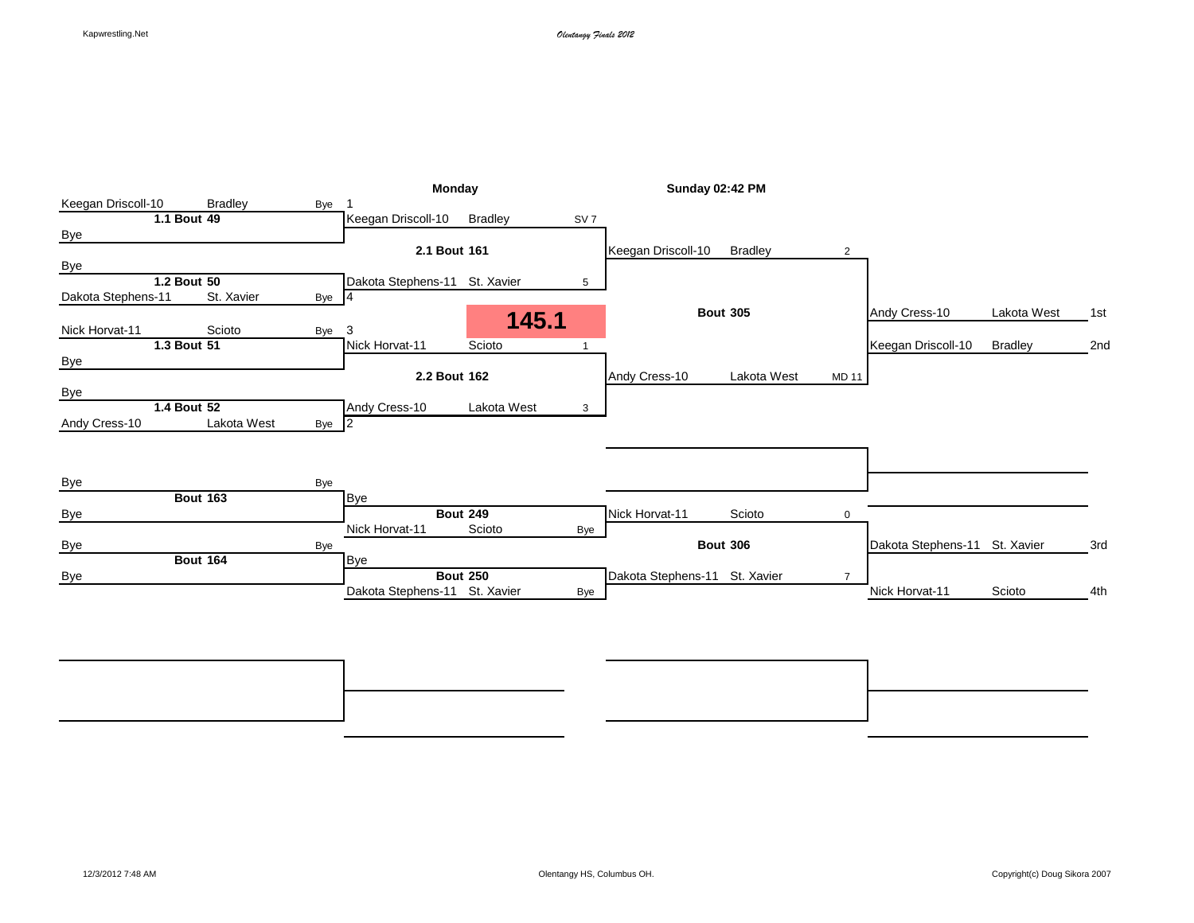|                    |                 |                |       | <b>Monday</b>                 |                 |                 | <b>Sunday 02:42 PM</b>        |                 |                |                               |                |     |
|--------------------|-----------------|----------------|-------|-------------------------------|-----------------|-----------------|-------------------------------|-----------------|----------------|-------------------------------|----------------|-----|
| Keegan Driscoll-10 |                 | <b>Bradley</b> | Bye   |                               |                 |                 |                               |                 |                |                               |                |     |
|                    | 1.1 Bout 49     |                |       | Keegan Driscoll-10            | <b>Bradley</b>  | SV <sub>7</sub> |                               |                 |                |                               |                |     |
| <b>Bye</b>         |                 |                |       |                               |                 |                 |                               |                 |                |                               |                |     |
|                    |                 |                |       | 2.1 Bout 161                  |                 |                 | Keegan Driscoll-10            | <b>Bradley</b>  | 2              |                               |                |     |
| Bye                |                 |                |       |                               |                 |                 |                               |                 |                |                               |                |     |
|                    | 1.2 Bout 50     |                |       | Dakota Stephens-11 St. Xavier |                 | 5               |                               |                 |                |                               |                |     |
| Dakota Stephens-11 |                 | St. Xavier     | Bye 4 |                               |                 |                 |                               |                 |                |                               |                |     |
|                    |                 |                |       |                               | 145.1           |                 |                               | <b>Bout 305</b> |                | Andy Cress-10                 | Lakota West    | 1st |
| Nick Horvat-11     |                 | Scioto         | Bye   | 3                             |                 |                 |                               |                 |                |                               |                |     |
|                    | 1.3 Bout 51     |                |       | Nick Horvat-11                | Scioto          |                 |                               |                 |                | Keegan Driscoll-10            | <b>Bradley</b> | 2nd |
| <b>Bye</b>         |                 |                |       |                               |                 |                 |                               |                 |                |                               |                |     |
|                    |                 |                |       | 2.2 Bout 162                  |                 |                 | Andy Cress-10                 | Lakota West     | <b>MD 11</b>   |                               |                |     |
| Bye                |                 |                |       |                               |                 |                 |                               |                 |                |                               |                |     |
|                    | 1.4 Bout 52     |                |       | Andy Cress-10                 | Lakota West     | 3               |                               |                 |                |                               |                |     |
| Andy Cress-10      |                 | Lakota West    | Bye 2 |                               |                 |                 |                               |                 |                |                               |                |     |
|                    |                 |                |       |                               |                 |                 |                               |                 |                |                               |                |     |
|                    |                 |                |       |                               |                 |                 |                               |                 |                |                               |                |     |
|                    |                 |                |       |                               |                 |                 |                               |                 |                |                               |                |     |
| Bye                |                 |                | Bye   |                               |                 |                 |                               |                 |                |                               |                |     |
|                    | <b>Bout 163</b> |                |       | <b>Bye</b>                    |                 |                 |                               |                 |                |                               |                |     |
| Bye                |                 |                |       |                               | <b>Bout 249</b> |                 | Nick Horvat-11                | Scioto          | $\mathbf 0$    |                               |                |     |
|                    |                 |                |       | Nick Horvat-11                | Scioto          | Bye             |                               |                 |                |                               |                |     |
| Bye                |                 |                | Bye   |                               |                 |                 |                               | <b>Bout 306</b> |                | Dakota Stephens-11 St. Xavier |                | 3rd |
|                    | <b>Bout 164</b> |                |       | <b>Bye</b>                    |                 |                 |                               |                 |                |                               |                |     |
| Bye                |                 |                |       |                               | <b>Bout 250</b> |                 | Dakota Stephens-11 St. Xavier |                 | $\overline{7}$ |                               |                |     |
|                    |                 |                |       | Dakota Stephens-11 St. Xavier |                 |                 |                               |                 |                | Nick Horvat-11                | Scioto         | 4th |

**Bout 362** 7th **Bout 361** 5th Bye Bye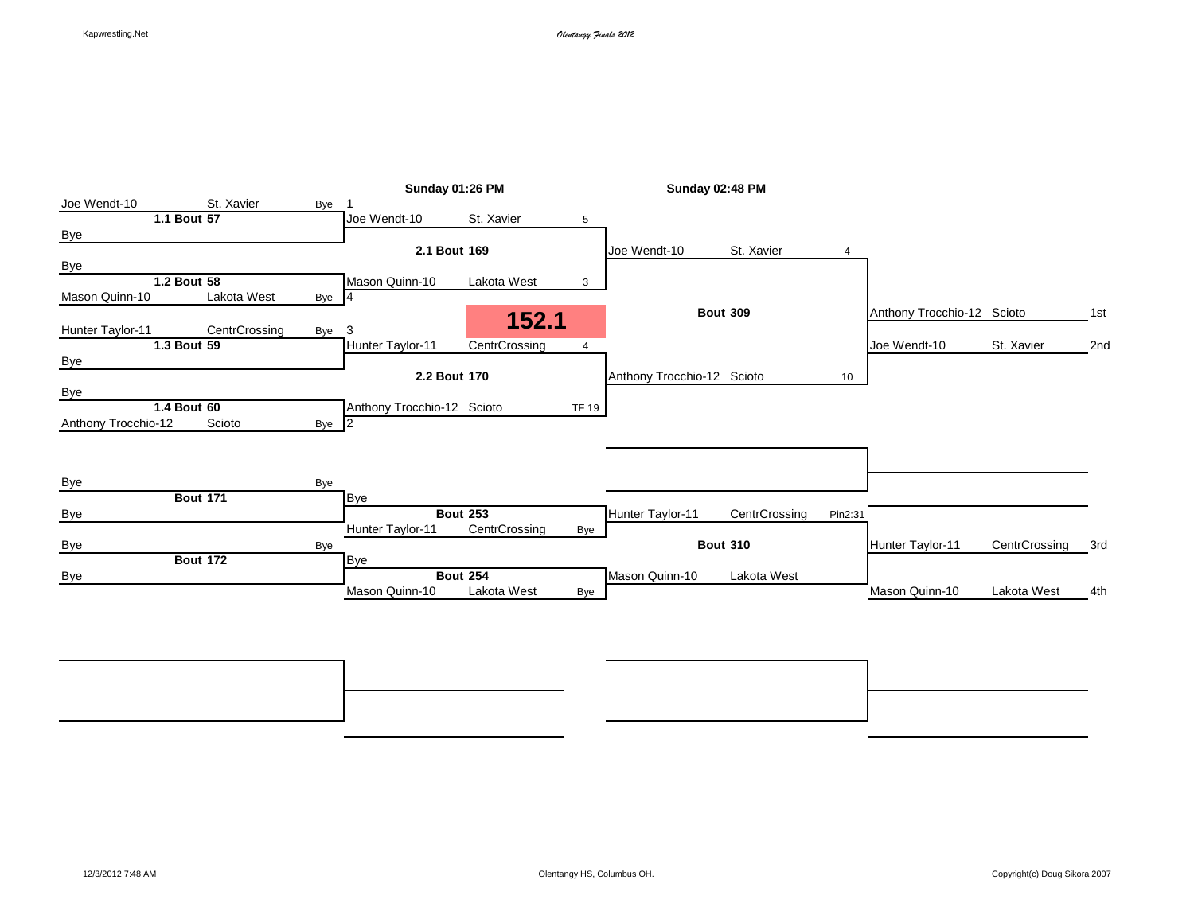|                     |                 |       |                            | Sunday 01:26 PM |                | <b>Sunday 02:48 PM</b>     |                 |                 |                            |               |     |
|---------------------|-----------------|-------|----------------------------|-----------------|----------------|----------------------------|-----------------|-----------------|----------------------------|---------------|-----|
| Joe Wendt-10        | St. Xavier      | Bye   |                            |                 |                |                            |                 |                 |                            |               |     |
|                     | 1.1 Bout 57     |       | Joe Wendt-10               | St. Xavier      | 5              |                            |                 |                 |                            |               |     |
| <b>Bye</b>          |                 |       |                            |                 |                |                            |                 |                 |                            |               |     |
|                     |                 |       | 2.1 Bout 169               |                 |                | Joe Wendt-10               | St. Xavier      | 4               |                            |               |     |
| Bye                 |                 |       |                            |                 |                |                            |                 |                 |                            |               |     |
|                     | 1.2 Bout 58     |       | Mason Quinn-10             | Lakota West     | 3              |                            |                 |                 |                            |               |     |
| Mason Quinn-10      | Lakota West     | Bye 4 |                            |                 |                |                            |                 |                 |                            |               |     |
|                     |                 |       |                            | 152.1           |                |                            | <b>Bout 309</b> |                 | Anthony Trocchio-12 Scioto |               | 1st |
| Hunter Taylor-11    | CentrCrossing   | Bye   | 3                          |                 |                |                            |                 |                 |                            |               |     |
|                     | 1.3 Bout 59     |       | Hunter Taylor-11           | CentrCrossing   | $\overline{4}$ |                            |                 |                 | Joe Wendt-10               | St. Xavier    | 2nd |
| <b>Bye</b>          |                 |       |                            |                 |                |                            |                 |                 |                            |               |     |
|                     |                 |       | 2.2 Bout 170               |                 |                | Anthony Trocchio-12 Scioto |                 | 10 <sup>1</sup> |                            |               |     |
| Bye                 |                 |       |                            |                 |                |                            |                 |                 |                            |               |     |
|                     | 1.4 Bout 60     |       | Anthony Trocchio-12 Scioto |                 | <b>TF 19</b>   |                            |                 |                 |                            |               |     |
| Anthony Trocchio-12 | Scioto          | Bye 2 |                            |                 |                |                            |                 |                 |                            |               |     |
|                     |                 |       |                            |                 |                |                            |                 |                 |                            |               |     |
|                     |                 |       |                            |                 |                |                            |                 |                 |                            |               |     |
|                     |                 |       |                            |                 |                |                            |                 |                 |                            |               |     |
| <b>Bye</b>          | <b>Bout 171</b> | Bye   |                            |                 |                |                            |                 |                 |                            |               |     |
| Bye                 |                 |       | <b>Bye</b>                 | <b>Bout 253</b> |                | Hunter Taylor-11           | CentrCrossing   | Pin2:31         |                            |               |     |
|                     |                 |       | Hunter Taylor-11           | CentrCrossing   | Bye            |                            |                 |                 |                            |               |     |
|                     |                 | Bye   |                            |                 |                |                            | <b>Bout 310</b> |                 | Hunter Taylor-11           | CentrCrossing | 3rd |
| <b>Bye</b>          | <b>Bout 172</b> |       | <b>Bye</b>                 |                 |                |                            |                 |                 |                            |               |     |
|                     |                 |       |                            | <b>Bout 254</b> |                | Mason Quinn-10             | Lakota West     |                 |                            |               |     |
| <b>Bye</b>          |                 |       | Mason Quinn-10             | Lakota West     | Bye            |                            |                 |                 | Mason Quinn-10             | Lakota West   | 4th |
|                     |                 |       |                            |                 |                |                            |                 |                 |                            |               |     |
|                     |                 |       |                            |                 |                |                            |                 |                 |                            |               |     |

**Bout 366** 7th **Bout 365** 5th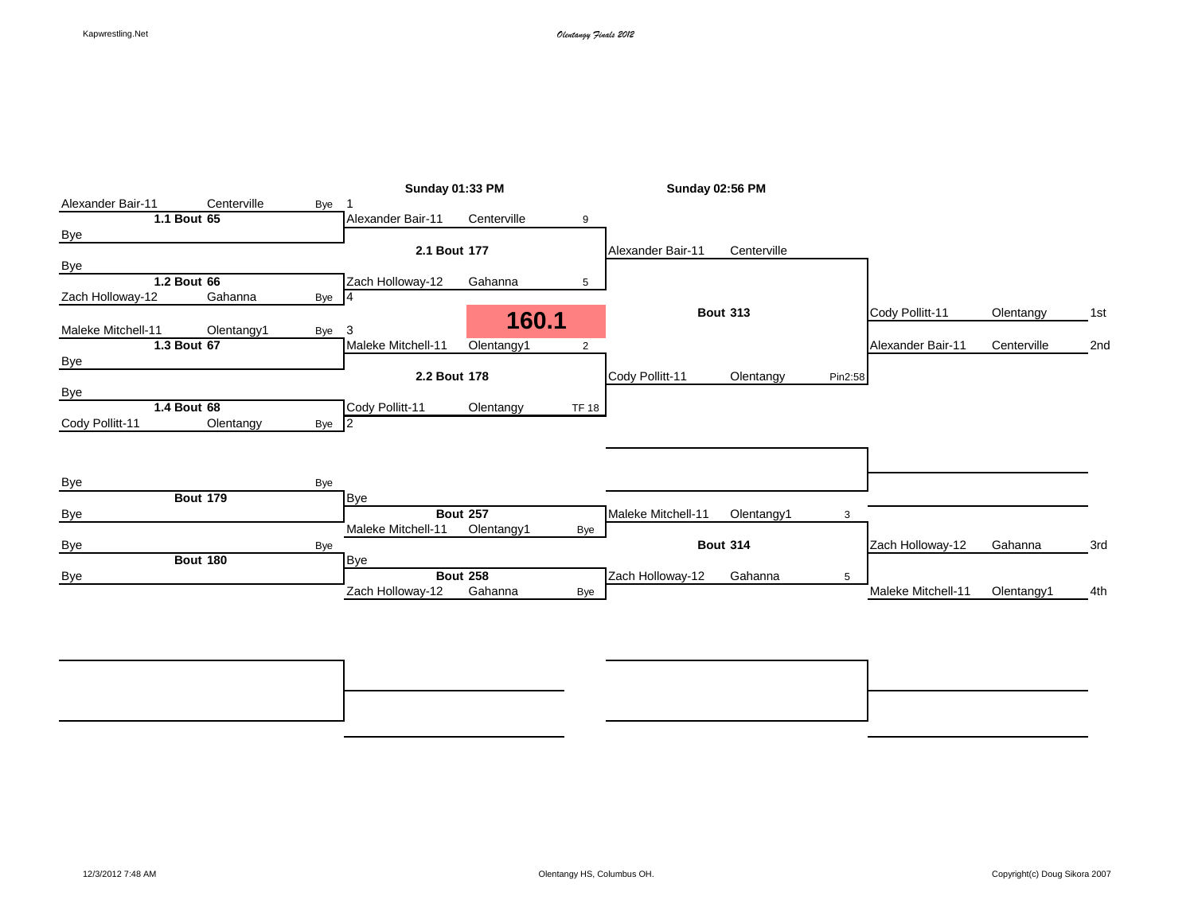|                    |                 |       | <b>Sunday 01:33 PM</b> |                 |              | <b>Sunday 02:56 PM</b> |                 |         |                    |             |     |
|--------------------|-----------------|-------|------------------------|-----------------|--------------|------------------------|-----------------|---------|--------------------|-------------|-----|
| Alexander Bair-11  | Centerville     | Bye   |                        |                 |              |                        |                 |         |                    |             |     |
|                    | 1.1 Bout 65     |       | Alexander Bair-11      | Centerville     | 9            |                        |                 |         |                    |             |     |
| Bye                |                 |       |                        |                 |              |                        |                 |         |                    |             |     |
|                    |                 |       | 2.1 Bout 177           |                 |              | Alexander Bair-11      | Centerville     |         |                    |             |     |
| <b>Bye</b>         |                 |       |                        |                 |              |                        |                 |         |                    |             |     |
|                    | 1.2 Bout 66     |       | Zach Holloway-12       | Gahanna         | 5            |                        |                 |         |                    |             |     |
| Zach Holloway-12   | Gahanna         | Bye 4 |                        |                 |              |                        |                 |         |                    |             |     |
| Maleke Mitchell-11 | Olentangy1      |       | 3                      | 160.1           |              |                        | <b>Bout 313</b> |         | Cody Pollitt-11    | Olentangy   | 1st |
|                    | 1.3 Bout 67     | Bye   | Maleke Mitchell-11     | Olentangy1      | 2            |                        |                 |         | Alexander Bair-11  | Centerville | 2nd |
| <b>Bye</b>         |                 |       |                        |                 |              |                        |                 |         |                    |             |     |
|                    |                 |       | 2.2 Bout 178           |                 |              | Cody Pollitt-11        | Olentangy       | Pin2:58 |                    |             |     |
| <b>Bye</b>         |                 |       |                        |                 |              |                        |                 |         |                    |             |     |
|                    | 1.4 Bout 68     |       | Cody Pollitt-11        | Olentangy       | <b>TF 18</b> |                        |                 |         |                    |             |     |
| Cody Pollitt-11    | Olentangy       | Bye 2 |                        |                 |              |                        |                 |         |                    |             |     |
|                    |                 |       |                        |                 |              |                        |                 |         |                    |             |     |
|                    |                 |       |                        |                 |              |                        |                 |         |                    |             |     |
|                    |                 |       |                        |                 |              |                        |                 |         |                    |             |     |
| Bye                |                 | Bye   |                        |                 |              |                        |                 |         |                    |             |     |
|                    | <b>Bout 179</b> |       | <b>Bye</b>             |                 |              |                        |                 |         |                    |             |     |
| Bye                |                 |       |                        | <b>Bout 257</b> |              | Maleke Mitchell-11     | Olentangy1      | 3       |                    |             |     |
|                    |                 |       | Maleke Mitchell-11     | Olentangy1      | Bye          |                        |                 |         |                    |             |     |
| Bye                |                 | Bye   |                        |                 |              |                        | <b>Bout 314</b> |         | Zach Holloway-12   | Gahanna     | 3rd |
|                    | <b>Bout 180</b> |       | <b>Bye</b>             |                 |              |                        |                 |         |                    |             |     |
| Bye                |                 |       |                        | <b>Bout 258</b> |              | Zach Holloway-12       | Gahanna         | 5       |                    |             |     |
|                    |                 |       | Zach Holloway-12       | Gahanna         | Bye          |                        |                 |         | Maleke Mitchell-11 | Olentangy1  | 4th |
|                    |                 |       |                        |                 |              |                        |                 |         |                    |             |     |

**Bout 370** 7th **Bout 369** 5th Bye Bye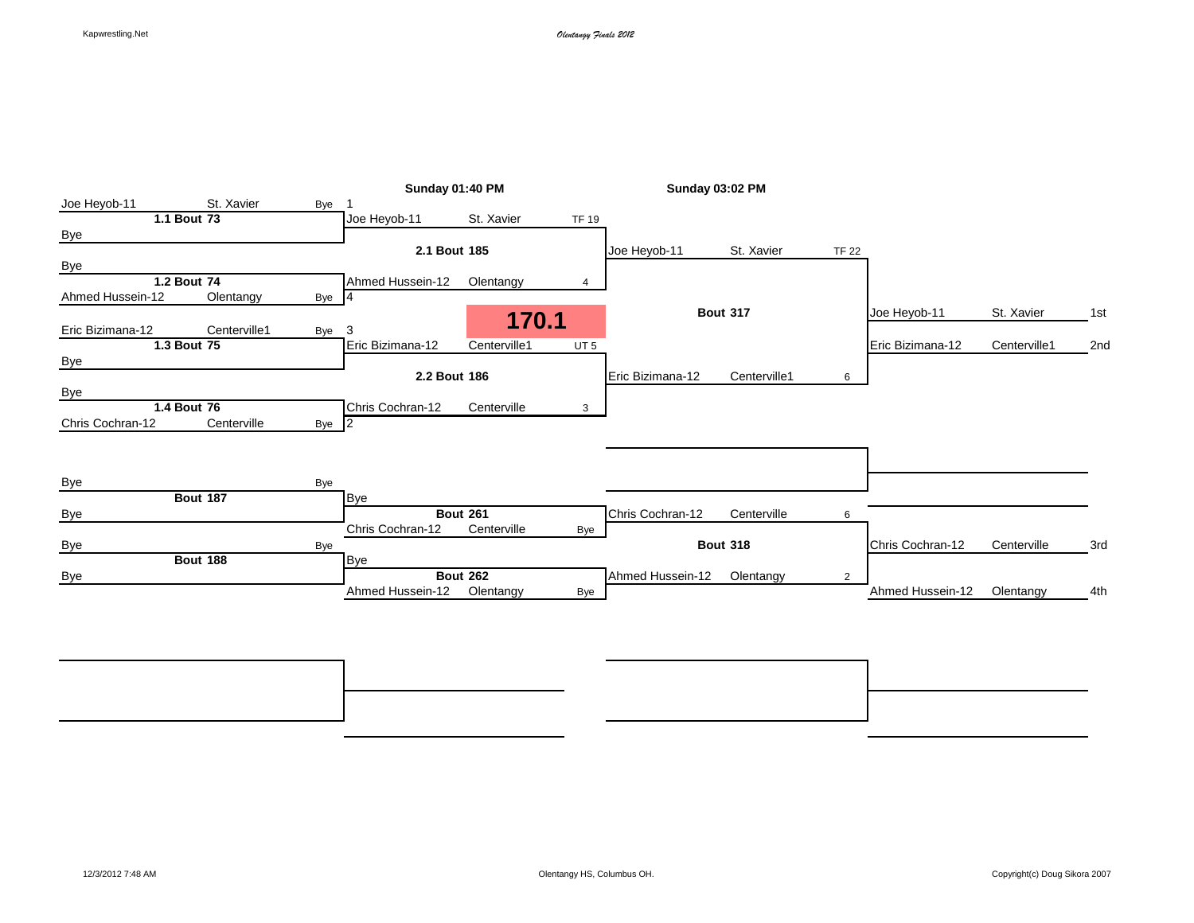|                  |                 |       | <b>Sunday 01:40 PM</b> |                 |                 | <b>Sunday 03:02 PM</b> |                 |                |                  |              |     |
|------------------|-----------------|-------|------------------------|-----------------|-----------------|------------------------|-----------------|----------------|------------------|--------------|-----|
| Joe Heyob-11     | St. Xavier      | Bye   |                        |                 |                 |                        |                 |                |                  |              |     |
|                  | 1.1 Bout 73     |       | Joe Heyob-11           | St. Xavier      | <b>TF 19</b>    |                        |                 |                |                  |              |     |
| <b>Bye</b>       |                 |       |                        |                 |                 |                        |                 |                |                  |              |     |
|                  |                 |       | 2.1 Bout 185           |                 |                 | Joe Heyob-11           | St. Xavier      | <b>TF 22</b>   |                  |              |     |
| Bye              |                 |       |                        |                 |                 |                        |                 |                |                  |              |     |
|                  | 1.2 Bout 74     |       | Ahmed Hussein-12       | Olentangy       | 4               |                        |                 |                |                  |              |     |
| Ahmed Hussein-12 | Olentangy       | Bye 4 |                        |                 |                 |                        |                 |                |                  |              |     |
| Eric Bizimana-12 | Centerville1    |       |                        | 170.1           |                 |                        | <b>Bout 317</b> |                | Joe Heyob-11     | St. Xavier   | 1st |
|                  |                 | Bye   | 3<br>Eric Bizimana-12  | Centerville1    |                 |                        |                 |                | Eric Bizimana-12 |              |     |
|                  | 1.3 Bout 75     |       |                        |                 | UT <sub>5</sub> |                        |                 |                |                  | Centerville1 | 2nd |
| <b>Bye</b>       |                 |       | 2.2 Bout 186           |                 |                 | Eric Bizimana-12       | Centerville1    |                |                  |              |     |
|                  |                 |       |                        |                 |                 |                        |                 | 6              |                  |              |     |
| Bye              | 1.4 Bout 76     |       | Chris Cochran-12       | Centerville     | 3               |                        |                 |                |                  |              |     |
| Chris Cochran-12 | Centerville     |       |                        |                 |                 |                        |                 |                |                  |              |     |
|                  |                 | Bye 2 |                        |                 |                 |                        |                 |                |                  |              |     |
|                  |                 |       |                        |                 |                 |                        |                 |                |                  |              |     |
|                  |                 |       |                        |                 |                 |                        |                 |                |                  |              |     |
| <b>Bye</b>       |                 | Bye   |                        |                 |                 |                        |                 |                |                  |              |     |
|                  | <b>Bout 187</b> |       | <b>Bye</b>             |                 |                 |                        |                 |                |                  |              |     |
| <b>Bye</b>       |                 |       |                        | <b>Bout 261</b> |                 | Chris Cochran-12       | Centerville     | 6              |                  |              |     |
|                  |                 |       | Chris Cochran-12       | Centerville     | Bye             |                        |                 |                |                  |              |     |
| <b>Bye</b>       |                 | Bye   |                        |                 |                 |                        | <b>Bout 318</b> |                | Chris Cochran-12 | Centerville  | 3rd |
|                  | <b>Bout 188</b> |       | <b>Bye</b>             |                 |                 |                        |                 |                |                  |              |     |
| Bye              |                 |       |                        | <b>Bout 262</b> |                 | Ahmed Hussein-12       | Olentangy       | $\overline{2}$ |                  |              |     |
|                  |                 |       | Ahmed Hussein-12       | Olentangy       | Bye             |                        |                 |                | Ahmed Hussein-12 | Olentangy    | 4th |

**Bout 374** 7th **Bout 373** 5th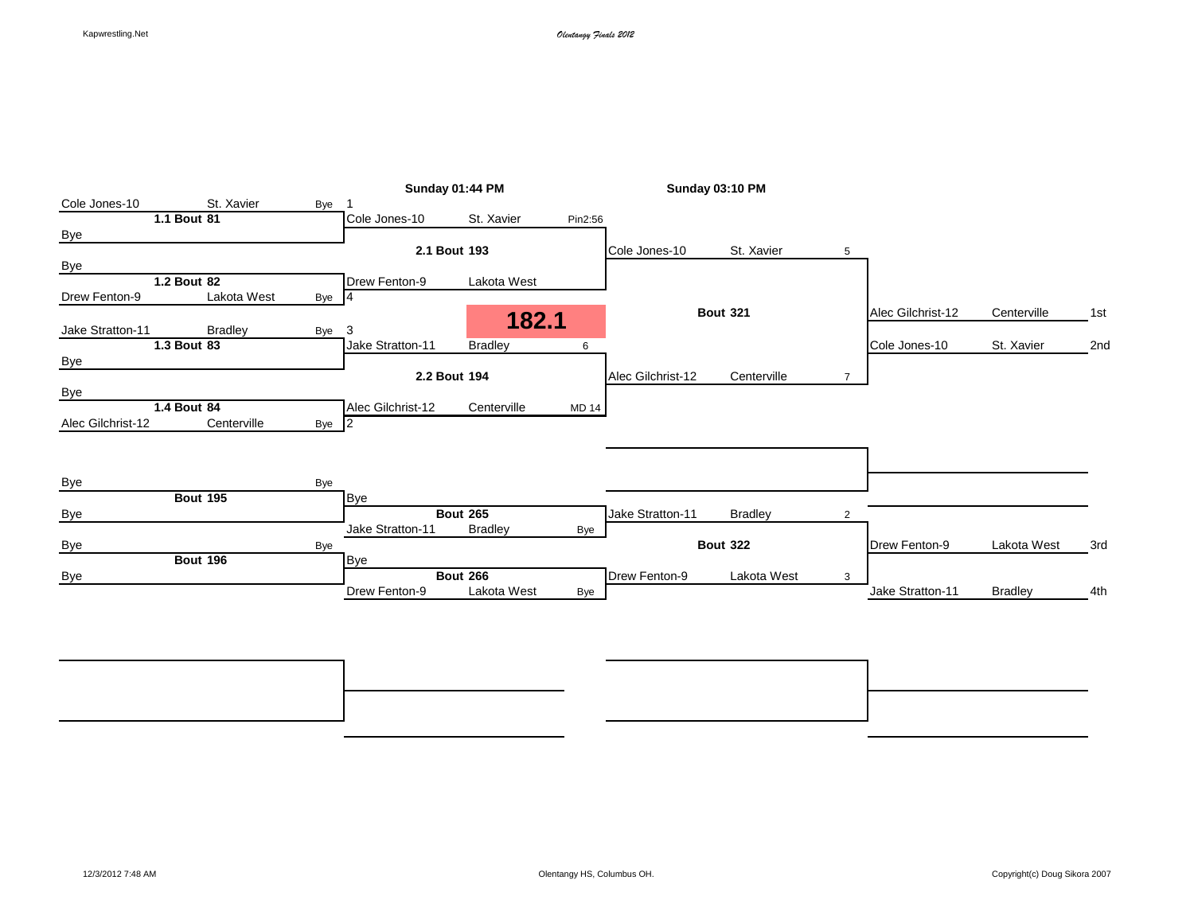|                   |                 |       | Sunday 01:44 PM   |                 | <b>Sunday 03:10 PM</b> |                   |                 |                |                   |                |     |
|-------------------|-----------------|-------|-------------------|-----------------|------------------------|-------------------|-----------------|----------------|-------------------|----------------|-----|
| Cole Jones-10     | St. Xavier      | Bye   |                   |                 |                        |                   |                 |                |                   |                |     |
|                   | 1.1 Bout 81     |       | Cole Jones-10     | St. Xavier      | Pin2:56                |                   |                 |                |                   |                |     |
| <b>Bye</b>        |                 |       |                   |                 |                        |                   |                 |                |                   |                |     |
|                   |                 |       | 2.1 Bout 193      |                 |                        | Cole Jones-10     | St. Xavier      | 5              |                   |                |     |
| <b>Bye</b>        |                 |       |                   |                 |                        |                   |                 |                |                   |                |     |
|                   | 1.2 Bout 82     |       | Drew Fenton-9     | Lakota West     |                        |                   |                 |                |                   |                |     |
| Drew Fenton-9     | Lakota West     | Bye 4 |                   |                 |                        |                   |                 |                |                   |                |     |
|                   |                 |       |                   | 182.1           |                        |                   | <b>Bout 321</b> |                | Alec Gilchrist-12 | Centerville    | 1st |
| Jake Stratton-11  | <b>Bradley</b>  | Bye   | 3                 |                 |                        |                   |                 |                |                   |                |     |
|                   | 1.3 Bout 83     |       | Jake Stratton-11  | <b>Bradley</b>  | 6                      |                   |                 |                | Cole Jones-10     | St. Xavier     | 2nd |
| <b>Bye</b>        |                 |       |                   |                 |                        |                   |                 |                |                   |                |     |
|                   |                 |       | 2.2 Bout 194      |                 |                        | Alec Gilchrist-12 | Centerville     | $\overline{7}$ |                   |                |     |
| Bye               |                 |       |                   |                 |                        |                   |                 |                |                   |                |     |
|                   | 1.4 Bout 84     |       | Alec Gilchrist-12 | Centerville     | <b>MD 14</b>           |                   |                 |                |                   |                |     |
| Alec Gilchrist-12 | Centerville     | Bye 2 |                   |                 |                        |                   |                 |                |                   |                |     |
|                   |                 |       |                   |                 |                        |                   |                 |                |                   |                |     |
|                   |                 |       |                   |                 |                        |                   |                 |                |                   |                |     |
|                   |                 |       |                   |                 |                        |                   |                 |                |                   |                |     |
| Bye               |                 | Bye   |                   |                 |                        |                   |                 |                |                   |                |     |
|                   | <b>Bout 195</b> |       | <b>Bye</b>        |                 |                        |                   |                 |                |                   |                |     |
| <b>Bye</b>        |                 |       |                   | <b>Bout 265</b> |                        | Jake Stratton-11  | <b>Bradley</b>  | 2              |                   |                |     |
|                   |                 |       | Jake Stratton-11  | <b>Bradley</b>  | Bye                    |                   |                 |                |                   |                |     |
| <b>Bye</b>        |                 | Bye   |                   |                 |                        |                   | <b>Bout 322</b> |                | Drew Fenton-9     | Lakota West    | 3rd |
|                   | <b>Bout 196</b> |       | <b>Bye</b>        |                 |                        |                   |                 |                |                   |                |     |
|                   |                 |       |                   | <b>Bout 266</b> |                        | Drew Fenton-9     | Lakota West     | 3              |                   |                |     |
| <b>Bye</b>        |                 |       | Drew Fenton-9     | Lakota West     |                        |                   |                 |                | Jake Stratton-11  | <b>Bradley</b> | 4th |

**Bout 378** 7th **Bout 377** 5th Bye Bye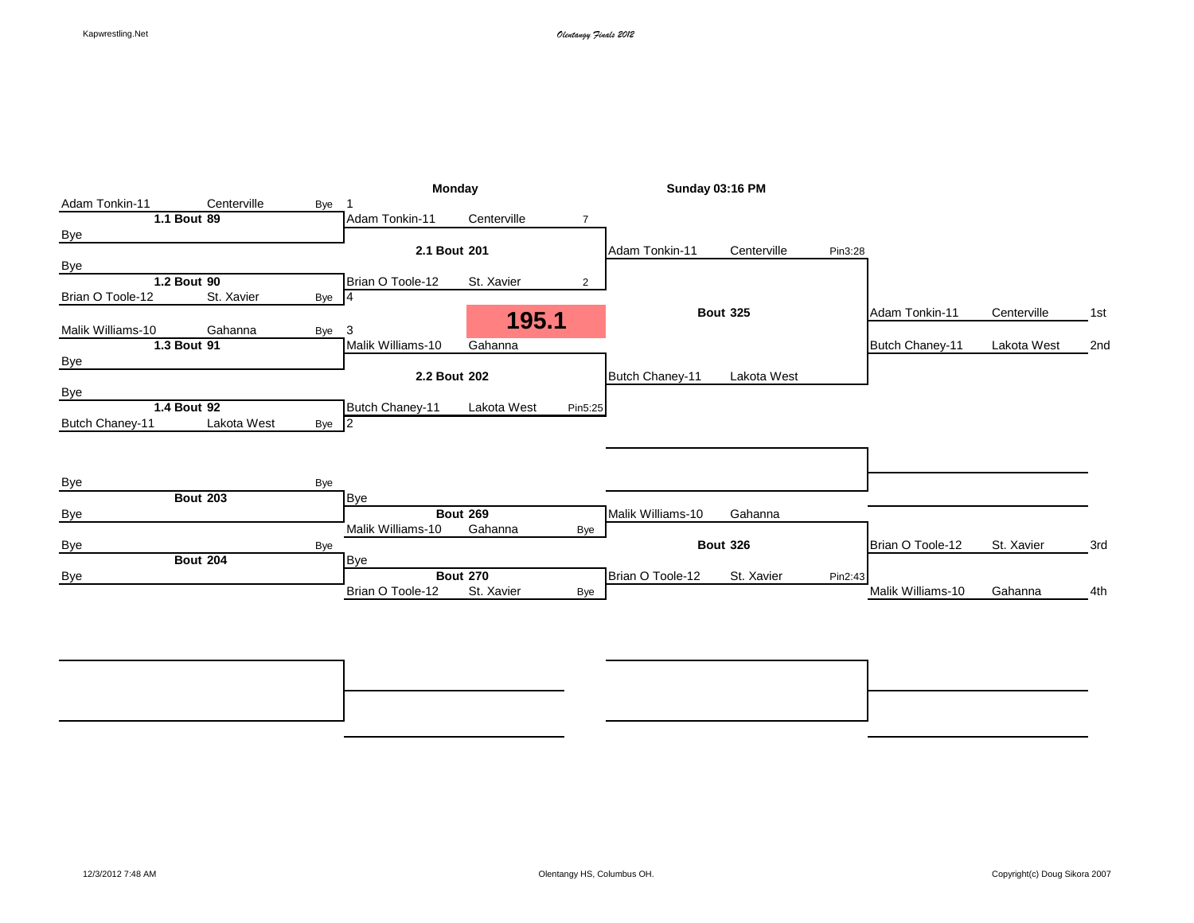|                   |                 |       | Monday            |                 | <b>Sunday 03:16 PM</b> |                   |                 |         |                   |             |     |
|-------------------|-----------------|-------|-------------------|-----------------|------------------------|-------------------|-----------------|---------|-------------------|-------------|-----|
| Adam Tonkin-11    | Centerville     | Bye   |                   |                 |                        |                   |                 |         |                   |             |     |
|                   | 1.1 Bout 89     |       | Adam Tonkin-11    | Centerville     | 7                      |                   |                 |         |                   |             |     |
| <b>Bye</b>        |                 |       |                   |                 |                        |                   |                 |         |                   |             |     |
|                   |                 |       | 2.1 Bout 201      |                 |                        | Adam Tonkin-11    | Centerville     | Pin3:28 |                   |             |     |
| <b>Bye</b>        |                 |       |                   |                 |                        |                   |                 |         |                   |             |     |
|                   | 1.2 Bout 90     |       | Brian O Toole-12  | St. Xavier      | $\overline{2}$         |                   |                 |         |                   |             |     |
| Brian O Toole-12  | St. Xavier      | Bye 4 |                   |                 |                        |                   |                 |         |                   |             |     |
|                   |                 |       |                   |                 |                        |                   | <b>Bout 325</b> |         | Adam Tonkin-11    | Centerville | 1st |
| Malik Williams-10 | Gahanna         | Bye   | 3                 | 195.1           |                        |                   |                 |         |                   |             |     |
|                   | 1.3 Bout 91     |       | Malik Williams-10 | Gahanna         |                        |                   |                 |         | Butch Chaney-11   | Lakota West | 2nd |
| <b>Bye</b>        |                 |       |                   |                 |                        |                   |                 |         |                   |             |     |
|                   |                 |       | 2.2 Bout 202      |                 |                        | Butch Chaney-11   | Lakota West     |         |                   |             |     |
| <b>Bye</b>        |                 |       |                   |                 |                        |                   |                 |         |                   |             |     |
|                   | 1.4 Bout 92     |       | Butch Chaney-11   | Lakota West     | Pin5:25                |                   |                 |         |                   |             |     |
| Butch Chaney-11   | Lakota West     | Bye 2 |                   |                 |                        |                   |                 |         |                   |             |     |
|                   |                 |       |                   |                 |                        |                   |                 |         |                   |             |     |
|                   |                 |       |                   |                 |                        |                   |                 |         |                   |             |     |
|                   |                 |       |                   |                 |                        |                   |                 |         |                   |             |     |
| Bye               |                 | Bye   |                   |                 |                        |                   |                 |         |                   |             |     |
|                   | <b>Bout 203</b> |       | <b>Bye</b>        |                 |                        |                   |                 |         |                   |             |     |
| Bye               |                 |       |                   | <b>Bout 269</b> |                        | Malik Williams-10 | Gahanna         |         |                   |             |     |
|                   |                 |       | Malik Williams-10 | Gahanna         | Bye                    |                   |                 |         |                   |             |     |
| <b>Bye</b>        |                 | Bye   |                   |                 |                        |                   | <b>Bout 326</b> |         | Brian O Toole-12  | St. Xavier  | 3rd |
|                   | <b>Bout 204</b> |       | <b>Bye</b>        |                 |                        |                   |                 |         |                   |             |     |
| Bye               |                 |       |                   | <b>Bout 270</b> |                        | Brian O Toole-12  | St. Xavier      | Pin2:43 |                   |             |     |
|                   |                 |       | Brian O Toole-12  | St. Xavier      | Bye                    |                   |                 |         | Malik Williams-10 | Gahanna     | 4th |
|                   |                 |       |                   |                 |                        |                   |                 |         |                   |             |     |
|                   |                 |       |                   |                 |                        |                   |                 |         |                   |             |     |

**Bout 382** 7th **Bout 381** 5th Bye Bye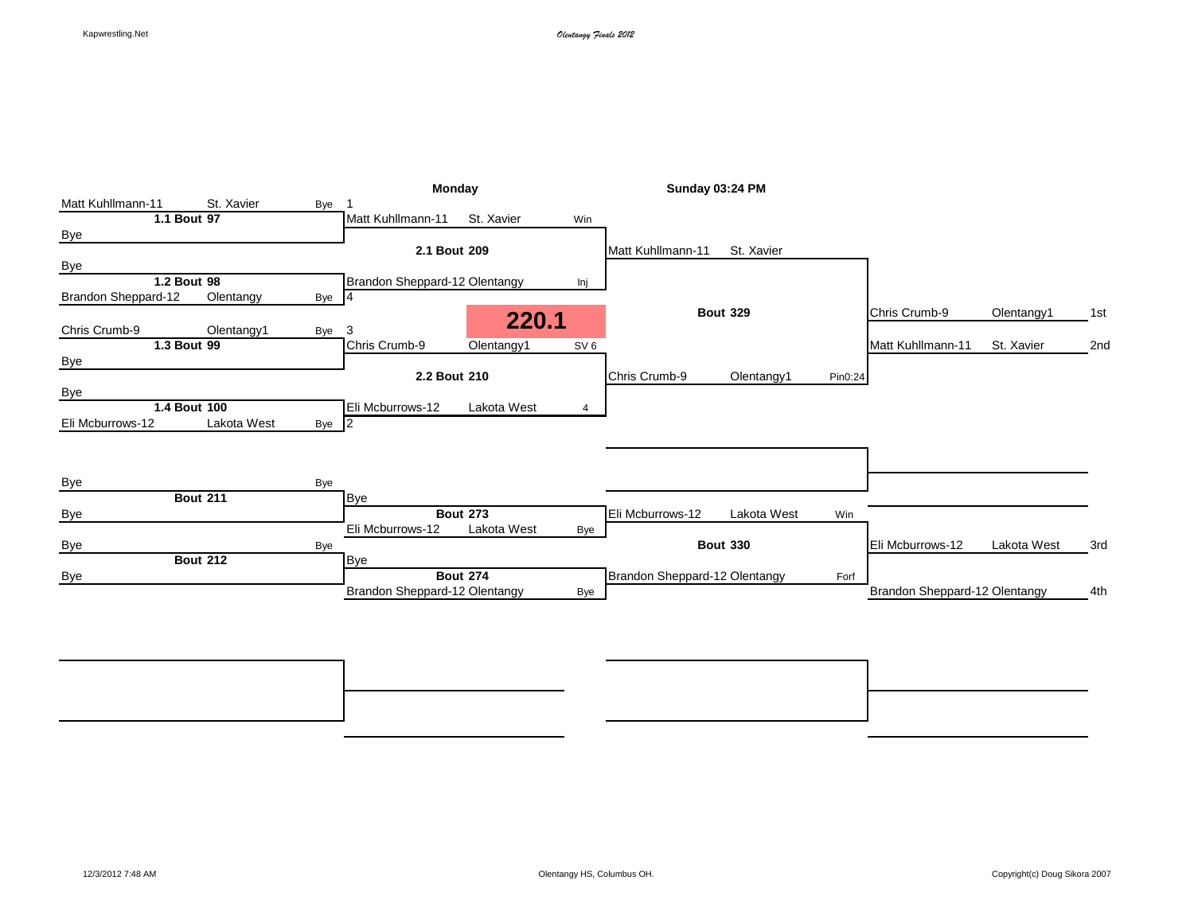|                                                  | Monday                                         | Sunday 03:24 PM                        |                                        |
|--------------------------------------------------|------------------------------------------------|----------------------------------------|----------------------------------------|
| Matt Kuhllmann-11<br>St. Xavier<br>Bye           |                                                |                                        |                                        |
| 1.1 Bout 97                                      | St. Xavier<br>Matt Kuhllmann-11<br>Win         |                                        |                                        |
| <b>Bye</b>                                       |                                                |                                        |                                        |
|                                                  | 2.1 Bout 209                                   | St. Xavier<br>Matt Kuhllmann-11        |                                        |
| <b>Bye</b>                                       |                                                |                                        |                                        |
| 1.2 Bout 98                                      | Brandon Sheppard-12 Olentangy<br>Inj           |                                        |                                        |
| Olentangy<br><b>Brandon Sheppard-12</b><br>Bye 4 |                                                |                                        |                                        |
| Chris Crumb-9<br>Olentangy1<br>Bye               | 220.1<br>3                                     | <b>Bout 329</b>                        | Chris Crumb-9<br>Olentangy1<br>1st     |
| 1.3 Bout 99                                      | Chris Crumb-9<br>Olentangy1<br>SV <sub>6</sub> |                                        | Matt Kuhllmann-11<br>St. Xavier<br>2nd |
| Bye                                              |                                                |                                        |                                        |
|                                                  | 2.2 Bout 210                                   | Chris Crumb-9<br>Olentangy1<br>Pin0:24 |                                        |
| Bye                                              |                                                |                                        |                                        |
| 1.4 Bout 100                                     | Eli Mcburrows-12<br>Lakota West<br>4           |                                        |                                        |
| Eli Mcburrows-12<br>Lakota West<br>Bye $ 2 $     |                                                |                                        |                                        |
|                                                  |                                                |                                        |                                        |
|                                                  |                                                |                                        |                                        |
|                                                  |                                                |                                        |                                        |
| Bye<br>Bye                                       |                                                |                                        |                                        |
| <b>Bout 211</b>                                  | <b>Bye</b>                                     |                                        |                                        |
| <b>Bye</b>                                       | <b>Bout 273</b>                                | Eli Mcburrows-12<br>Lakota West<br>Win |                                        |
|                                                  | Lakota West<br>Eli Mcburrows-12<br>Bye         |                                        |                                        |
| <b>Bye</b><br>Bye                                |                                                | <b>Bout 330</b>                        | Eli Mcburrows-12<br>Lakota West<br>3rd |
| <b>Bout 212</b>                                  | <b>Bye</b>                                     |                                        |                                        |
| Bye                                              | <b>Bout 274</b>                                | Brandon Sheppard-12 Olentangy<br>Forf  |                                        |
|                                                  | Brandon Sheppard-12 Olentangy<br>Bye           |                                        | Brandon Sheppard-12 Olentangy<br>4th   |
|                                                  |                                                |                                        |                                        |

**Bout 386** 7th **Bout 385** 5th Bye Bye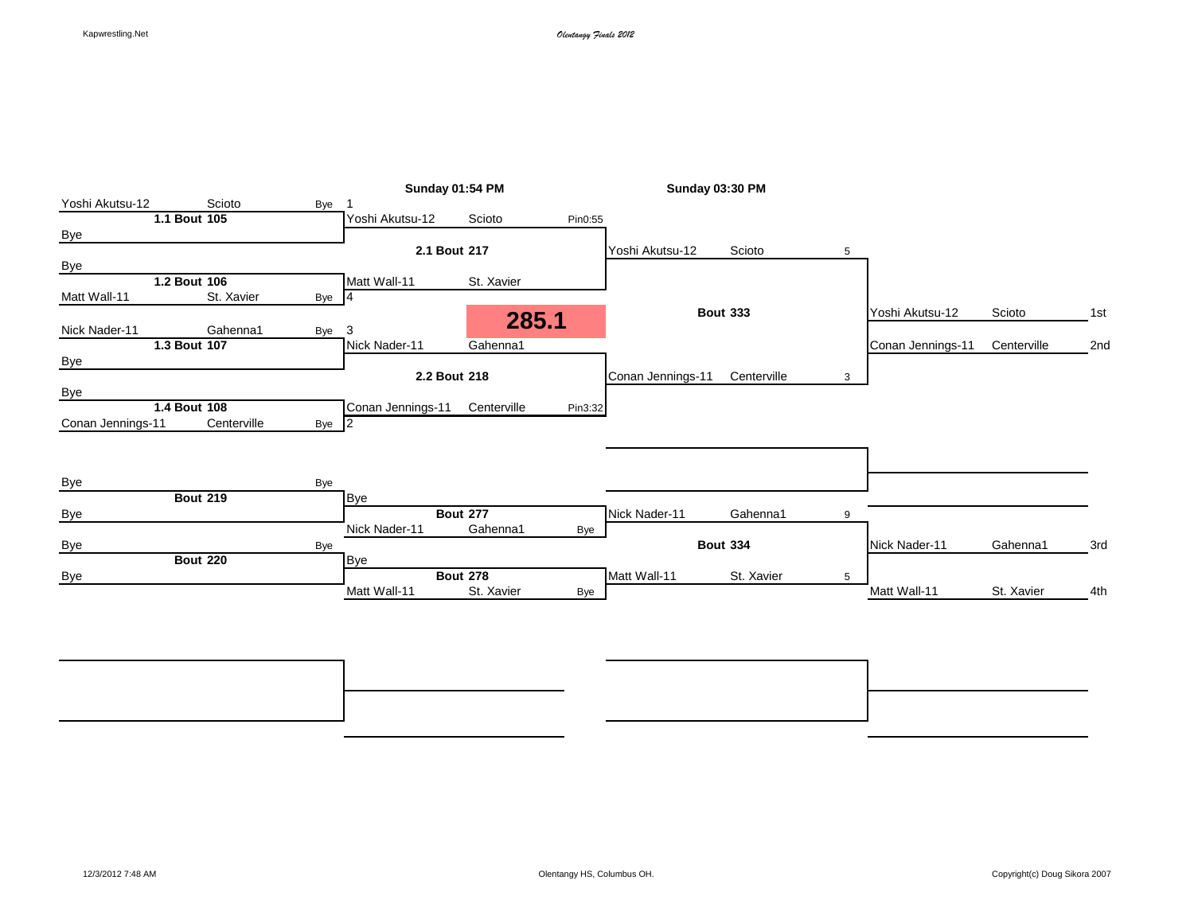|                   |                 |       |                   | Sunday 01:54 PM               |         |                   | Sunday 03:30 PM |   |                   |             |     |
|-------------------|-----------------|-------|-------------------|-------------------------------|---------|-------------------|-----------------|---|-------------------|-------------|-----|
| Yoshi Akutsu-12   | Scioto          | Bye   |                   |                               |         |                   |                 |   |                   |             |     |
|                   | 1.1 Bout 105    |       | Yoshi Akutsu-12   | Scioto                        | Pin0:55 |                   |                 |   |                   |             |     |
| <b>Bye</b>        |                 |       |                   |                               |         |                   |                 |   |                   |             |     |
|                   |                 |       | 2.1 Bout 217      |                               |         | Yoshi Akutsu-12   | Scioto          | 5 |                   |             |     |
| Bye               |                 |       |                   |                               |         |                   |                 |   |                   |             |     |
|                   | 1.2 Bout 106    |       | Matt Wall-11      | St. Xavier                    |         |                   |                 |   |                   |             |     |
| Matt Wall-11      | St. Xavier      | Bye   | 4                 |                               |         |                   |                 |   |                   |             |     |
|                   |                 |       |                   | 285.1                         |         |                   | <b>Bout 333</b> |   | Yoshi Akutsu-12   | Scioto      | 1st |
| Nick Nader-11     | Gahenna1        | Bye   | 3                 |                               |         |                   |                 |   |                   |             |     |
|                   | 1.3 Bout 107    |       | Nick Nader-11     | Gahenna1                      |         |                   |                 |   | Conan Jennings-11 | Centerville | 2nd |
| <b>Bye</b>        |                 |       |                   |                               |         |                   |                 |   |                   |             |     |
|                   |                 |       | 2.2 Bout 218      |                               |         | Conan Jennings-11 | Centerville     | 3 |                   |             |     |
| Bye               |                 |       |                   |                               |         |                   |                 |   |                   |             |     |
|                   | 1.4 Bout 108    |       | Conan Jennings-11 | Centerville                   | Pin3:32 |                   |                 |   |                   |             |     |
| Conan Jennings-11 | Centerville     | Bye 2 |                   |                               |         |                   |                 |   |                   |             |     |
|                   |                 |       |                   |                               |         |                   |                 |   |                   |             |     |
|                   |                 |       |                   |                               |         |                   |                 |   |                   |             |     |
|                   |                 |       |                   |                               |         |                   |                 |   |                   |             |     |
| <b>Bye</b>        |                 | Bye   |                   |                               |         |                   |                 |   |                   |             |     |
|                   | <b>Bout 219</b> |       | Bye               |                               |         |                   |                 |   |                   |             |     |
| <b>Bye</b>        |                 |       |                   | <b>Bout 277</b>               |         | Nick Nader-11     | Gahenna1        | 9 |                   |             |     |
|                   |                 |       | Nick Nader-11     | Gahenna1                      | Bye     |                   |                 |   |                   |             |     |
|                   |                 | Bye   |                   |                               |         |                   | <b>Bout 334</b> |   | Nick Nader-11     | Gahenna1    | 3rd |
| <b>Bye</b>        |                 |       |                   |                               |         |                   |                 |   |                   |             |     |
|                   | <b>Bout 220</b> |       | <b>Bye</b>        |                               |         |                   |                 |   |                   |             |     |
| <b>Bye</b>        |                 |       | Matt Wall-11      | <b>Bout 278</b><br>St. Xavier | Bye     | Matt Wall-11      | St. Xavier      | 5 | Matt Wall-11      | St. Xavier  | 4th |

**Bout 390** 7th **Bout 389** 5th Bye Bye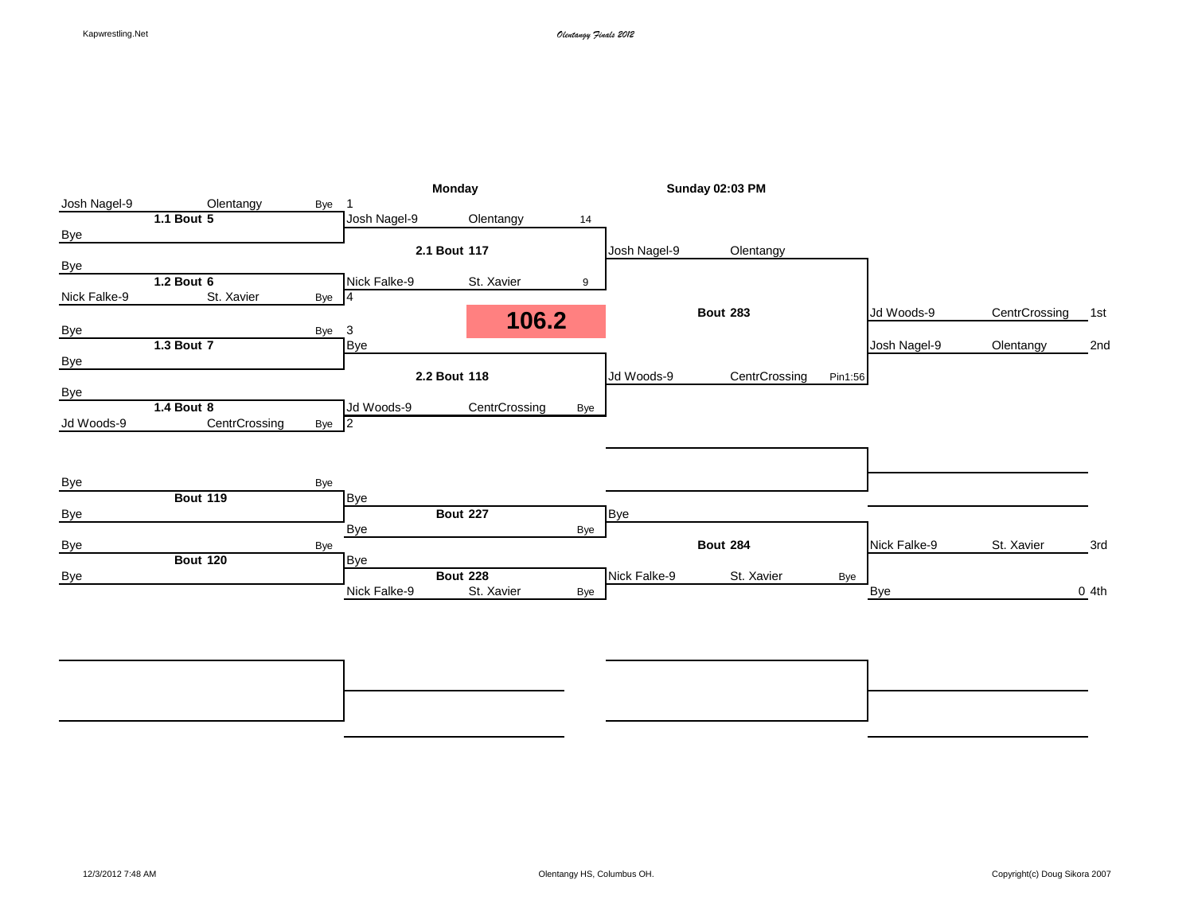|              |                 |                |              | Monday          |     |              | <b>Sunday 02:03 PM</b> |         |              |               |         |
|--------------|-----------------|----------------|--------------|-----------------|-----|--------------|------------------------|---------|--------------|---------------|---------|
| Josh Nagel-9 | Olentangy       | Bye            |              |                 |     |              |                        |         |              |               |         |
|              | 1.1 Bout 5      |                | Josh Nagel-9 | Olentangy       | 14  |              |                        |         |              |               |         |
| <b>Bye</b>   |                 |                |              |                 |     |              |                        |         |              |               |         |
|              |                 |                |              | 2.1 Bout 117    |     | Josh Nagel-9 | Olentangy              |         |              |               |         |
| Bye          |                 |                |              |                 |     |              |                        |         |              |               |         |
|              | 1.2 Bout 6      |                | Nick Falke-9 | St. Xavier      | 9   |              |                        |         |              |               |         |
| Nick Falke-9 | St. Xavier      | Bye $\sqrt{4}$ |              |                 |     |              |                        |         |              |               |         |
|              |                 |                |              | 106.2           |     |              | <b>Bout 283</b>        |         | Jd Woods-9   | CentrCrossing | 1st     |
| <b>Bye</b>   | 1.3 Bout 7      | Bye            | 3            |                 |     |              |                        |         |              |               |         |
|              |                 |                | <b>Bye</b>   |                 |     |              |                        |         | Josh Nagel-9 | Olentangy     | 2nd     |
| Bye          |                 |                |              | 2.2 Bout 118    |     | Jd Woods-9   | CentrCrossing          | Pin1:56 |              |               |         |
| <b>Bye</b>   |                 |                |              |                 |     |              |                        |         |              |               |         |
|              | 1.4 Bout 8      |                | Jd Woods-9   | CentrCrossing   | Bye |              |                        |         |              |               |         |
| Jd Woods-9   | CentrCrossing   | Bye 2          |              |                 |     |              |                        |         |              |               |         |
|              |                 |                |              |                 |     |              |                        |         |              |               |         |
|              |                 |                |              |                 |     |              |                        |         |              |               |         |
|              |                 |                |              |                 |     |              |                        |         |              |               |         |
| Bye          | <b>Bout 119</b> | Bye            | <b>Bye</b>   |                 |     |              |                        |         |              |               |         |
| <b>Bye</b>   |                 |                |              | <b>Bout 227</b> |     | <b>Bye</b>   |                        |         |              |               |         |
|              |                 |                | Bye          |                 | Bye |              |                        |         |              |               |         |
| Bye          |                 | Bye            |              |                 |     |              | <b>Bout 284</b>        |         | Nick Falke-9 | St. Xavier    | 3rd     |
|              | <b>Bout 120</b> |                | <b>Bye</b>   |                 |     |              |                        |         |              |               |         |
| <b>Bye</b>   |                 |                |              | <b>Bout 228</b> |     | Nick Falke-9 | St. Xavier             | Bye     |              |               |         |
|              |                 |                | Nick Falke-9 | St. Xavier      | Bye |              |                        |         | <b>Bye</b>   |               | $0$ 4th |
|              |                 |                |              |                 |     |              |                        |         |              |               |         |
|              |                 |                |              |                 |     |              |                        |         |              |               |         |
|              |                 |                |              |                 |     |              |                        |         |              |               |         |
|              |                 |                |              |                 |     |              |                        |         |              |               |         |

**Bout 340** 7th **Bout 339** 5th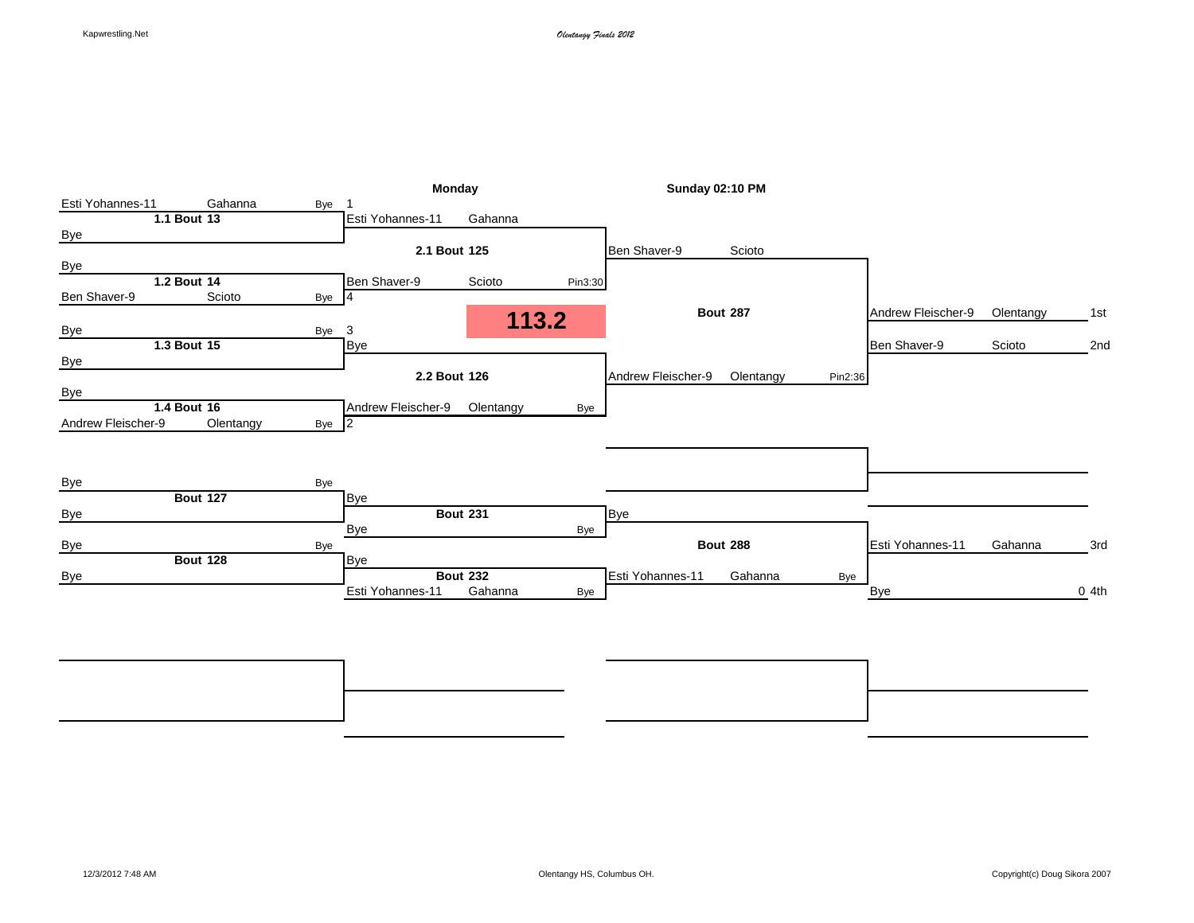| <b>Monday</b><br><b>Sunday 02:10 PM</b>                             |                    |           |                  |
|---------------------------------------------------------------------|--------------------|-----------|------------------|
| Gahanna<br>Esti Yohannes-11<br>Bye                                  |                    |           |                  |
| 1.1 Bout 13<br>Esti Yohannes-11<br>Gahanna                          |                    |           |                  |
| <b>Bye</b>                                                          |                    |           |                  |
| 2.1 Bout 125<br>Ben Shaver-9<br>Scioto                              |                    |           |                  |
| <b>Bye</b>                                                          |                    |           |                  |
| 1.2 Bout 14<br>Ben Shaver-9<br>Scioto<br>Pin3:30                    |                    |           |                  |
| Scioto<br>Ben Shaver-9<br>Bye 4                                     |                    |           |                  |
| <b>Bout 287</b><br>113.2                                            | Andrew Fleischer-9 | Olentangy | 1st              |
| 3<br><b>Bye</b><br>Bye                                              |                    |           |                  |
| 1.3 Bout 15<br>Bye                                                  | Ben Shaver-9       | Scioto    | 2nd              |
| <b>Bye</b>                                                          |                    |           |                  |
| 2.2 Bout 126<br>Andrew Fleischer-9<br>Olentangy<br>Pin2:36          |                    |           |                  |
| <b>Bye</b>                                                          |                    |           |                  |
| 1.4 Bout 16<br>Andrew Fleischer-9<br>Olentangy<br>Bye               |                    |           |                  |
| Andrew Fleischer-9<br>Olentangy<br>Bye 2                            |                    |           |                  |
|                                                                     |                    |           |                  |
|                                                                     |                    |           |                  |
| Bye<br>Bye                                                          |                    |           |                  |
| <b>Bout 127</b><br><b>Bye</b>                                       |                    |           |                  |
| <b>Bout 231</b><br>Bye<br><b>Bye</b>                                |                    |           |                  |
| Bye<br>Bye                                                          |                    |           |                  |
| <b>Bout 288</b><br>Bye<br>Bye                                       | Esti Yohannes-11   | Gahanna   | 3rd              |
| <b>Bout 128</b><br>Bye                                              |                    |           |                  |
| <b>Bout 232</b><br>Esti Yohannes-11<br>Gahanna<br>Bye<br><b>Bye</b> |                    |           |                  |
| Gahanna<br>Esti Yohannes-11<br><b>Bye</b><br>Bye                    |                    |           | 0 <sub>4th</sub> |
|                                                                     |                    |           |                  |
|                                                                     |                    |           |                  |
|                                                                     |                    |           |                  |

**Bout 344** 7th **Bout 343** 5th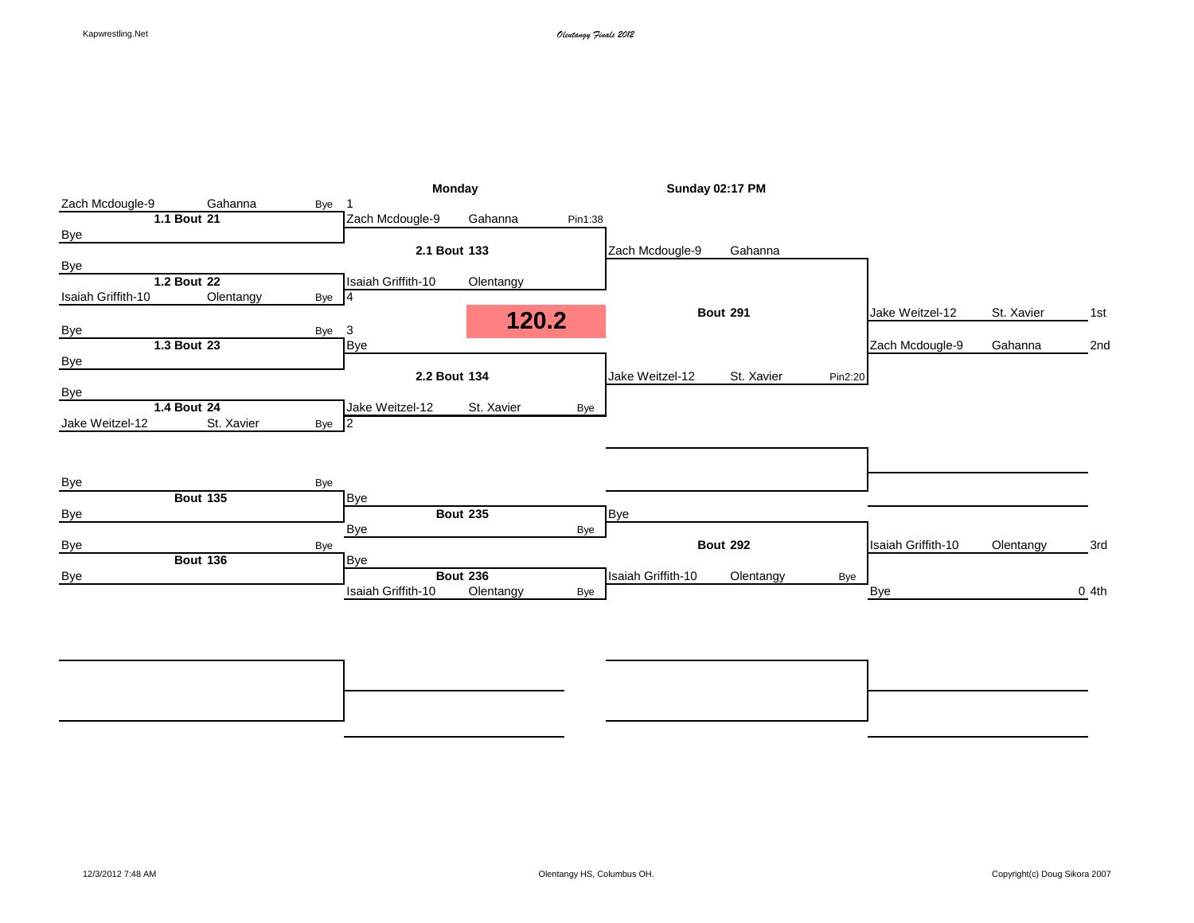|                    |                 |                | Monday             |                 |         |                    | Sunday 02:17 PM |         |                    |            |      |
|--------------------|-----------------|----------------|--------------------|-----------------|---------|--------------------|-----------------|---------|--------------------|------------|------|
| Zach Mcdougle-9    | Gahanna         | Bye            |                    |                 |         |                    |                 |         |                    |            |      |
|                    | 1.1 Bout 21     |                | Zach Mcdougle-9    | Gahanna         | Pin1:38 |                    |                 |         |                    |            |      |
| <b>Bye</b>         |                 |                |                    |                 |         |                    |                 |         |                    |            |      |
|                    |                 |                | 2.1 Bout 133       |                 |         | Zach Mcdougle-9    | Gahanna         |         |                    |            |      |
| <b>Bye</b>         |                 |                |                    |                 |         |                    |                 |         |                    |            |      |
|                    | 1.2 Bout 22     |                | Isaiah Griffith-10 | Olentangy       |         |                    |                 |         |                    |            |      |
| Isaiah Griffith-10 | Olentangy       | Bye 4          |                    |                 |         |                    |                 |         |                    |            |      |
|                    |                 |                |                    | 120.2           |         |                    | <b>Bout 291</b> |         | Jake Weitzel-12    | St. Xavier | 1st  |
| <b>Bye</b>         |                 | Bye 3          |                    |                 |         |                    |                 |         |                    |            |      |
|                    | 1.3 Bout 23     |                | Bye                |                 |         |                    |                 |         | Zach Mcdougle-9    | Gahanna    | 2nd  |
| Bye                |                 |                | 2.2 Bout 134       |                 |         | Jake Weitzel-12    | St. Xavier      | Pin2:20 |                    |            |      |
| <b>Bye</b>         |                 |                |                    |                 |         |                    |                 |         |                    |            |      |
|                    | 1.4 Bout 24     |                | Jake Weitzel-12    | St. Xavier      | Bye     |                    |                 |         |                    |            |      |
| Jake Weitzel-12    | St. Xavier      | Bye $\sqrt{2}$ |                    |                 |         |                    |                 |         |                    |            |      |
|                    |                 |                |                    |                 |         |                    |                 |         |                    |            |      |
|                    |                 |                |                    |                 |         |                    |                 |         |                    |            |      |
|                    |                 |                |                    |                 |         |                    |                 |         |                    |            |      |
| Bye                |                 | Bye            |                    |                 |         |                    |                 |         |                    |            |      |
|                    | <b>Bout 135</b> |                | Bye                |                 |         |                    |                 |         |                    |            |      |
| <b>Bye</b>         |                 |                |                    | <b>Bout 235</b> |         | <b>Bye</b>         |                 |         |                    |            |      |
|                    |                 |                | <b>Bye</b>         |                 | Bye     |                    |                 |         |                    |            |      |
| <b>Bye</b>         | <b>Bout 136</b> | Bye            |                    |                 |         |                    | <b>Bout 292</b> |         | Isaiah Griffith-10 | Olentangy  | 3rd  |
|                    |                 |                | Bye                | <b>Bout 236</b> |         | Isaiah Griffith-10 |                 |         |                    |            |      |
| <b>Bye</b>         |                 |                | Isaiah Griffith-10 | Olentangy       |         |                    | Olentangy       | Bye     |                    |            | 04th |
|                    |                 |                |                    |                 | Bye     |                    |                 |         | <b>Bye</b>         |            |      |
|                    |                 |                |                    |                 |         |                    |                 |         |                    |            |      |
|                    |                 |                |                    |                 |         |                    |                 |         |                    |            |      |
|                    |                 |                |                    |                 |         |                    |                 |         |                    |            |      |

**Bout 348** 7th **Bout 347** 5th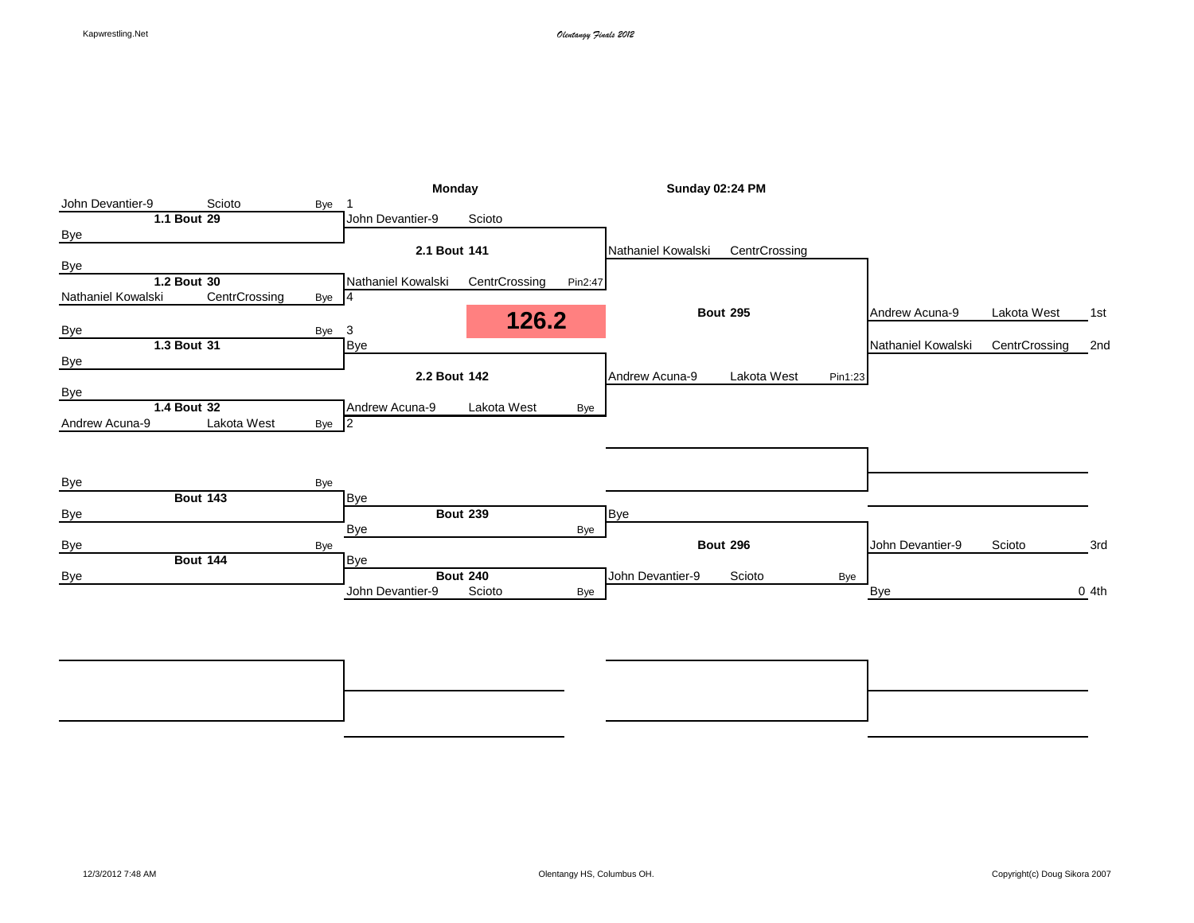|                    |                 |          |                    | Monday          |         |                    | Sunday 02:24 PM |         |                    |               |      |
|--------------------|-----------------|----------|--------------------|-----------------|---------|--------------------|-----------------|---------|--------------------|---------------|------|
| John Devantier-9   | Scioto          | Bye      |                    |                 |         |                    |                 |         |                    |               |      |
|                    | 1.1 Bout 29     |          | John Devantier-9   | Scioto          |         |                    |                 |         |                    |               |      |
| <b>Bye</b>         |                 |          |                    |                 |         |                    |                 |         |                    |               |      |
|                    |                 |          | 2.1 Bout 141       |                 |         | Nathaniel Kowalski | CentrCrossing   |         |                    |               |      |
| <b>Bye</b>         |                 |          |                    |                 |         |                    |                 |         |                    |               |      |
|                    | 1.2 Bout 30     |          | Nathaniel Kowalski | CentrCrossing   | Pin2:47 |                    |                 |         |                    |               |      |
| Nathaniel Kowalski | CentrCrossing   | Bye $ 4$ |                    |                 |         |                    |                 |         |                    |               |      |
|                    |                 |          |                    | 126.2           |         |                    | <b>Bout 295</b> |         | Andrew Acuna-9     | Lakota West   | 1st  |
| <b>Bye</b>         |                 | Bye      | 3                  |                 |         |                    |                 |         |                    |               |      |
|                    | 1.3 Bout 31     |          | Bye                |                 |         |                    |                 |         | Nathaniel Kowalski | CentrCrossing | 2nd  |
| Bye                |                 |          |                    |                 |         |                    |                 |         |                    |               |      |
|                    |                 |          | 2.2 Bout 142       |                 |         | Andrew Acuna-9     | Lakota West     | Pin1:23 |                    |               |      |
| <b>Bye</b>         |                 |          |                    |                 |         |                    |                 |         |                    |               |      |
|                    | 1.4 Bout 32     |          | Andrew Acuna-9     | Lakota West     | Bye     |                    |                 |         |                    |               |      |
| Andrew Acuna-9     | Lakota West     | Bye 2    |                    |                 |         |                    |                 |         |                    |               |      |
|                    |                 |          |                    |                 |         |                    |                 |         |                    |               |      |
|                    |                 |          |                    |                 |         |                    |                 |         |                    |               |      |
|                    |                 |          |                    |                 |         |                    |                 |         |                    |               |      |
| Bye                |                 | Bye      |                    |                 |         |                    |                 |         |                    |               |      |
|                    | <b>Bout 143</b> |          | Bye                |                 |         |                    |                 |         |                    |               |      |
| <b>Bye</b>         |                 |          |                    | <b>Bout 239</b> |         | <b>Bye</b>         |                 |         |                    |               |      |
|                    |                 |          | Bye                |                 | Bye     |                    |                 |         |                    |               |      |
| <b>Bye</b>         | <b>Bout 144</b> | Bye      | Bye                |                 |         |                    | <b>Bout 296</b> |         | John Devantier-9   | Scioto        | 3rd  |
|                    |                 |          |                    | <b>Bout 240</b> |         | John Devantier-9   |                 |         |                    |               |      |
| <b>Bye</b>         |                 |          | John Devantier-9   | Scioto          |         |                    | Scioto          | Bye     |                    |               | 04th |
|                    |                 |          |                    |                 | Bye     |                    |                 |         | Bye                |               |      |
|                    |                 |          |                    |                 |         |                    |                 |         |                    |               |      |
|                    |                 |          |                    |                 |         |                    |                 |         |                    |               |      |
|                    |                 |          |                    |                 |         |                    |                 |         |                    |               |      |

**Bout 352** 7th **Bout 351** 5th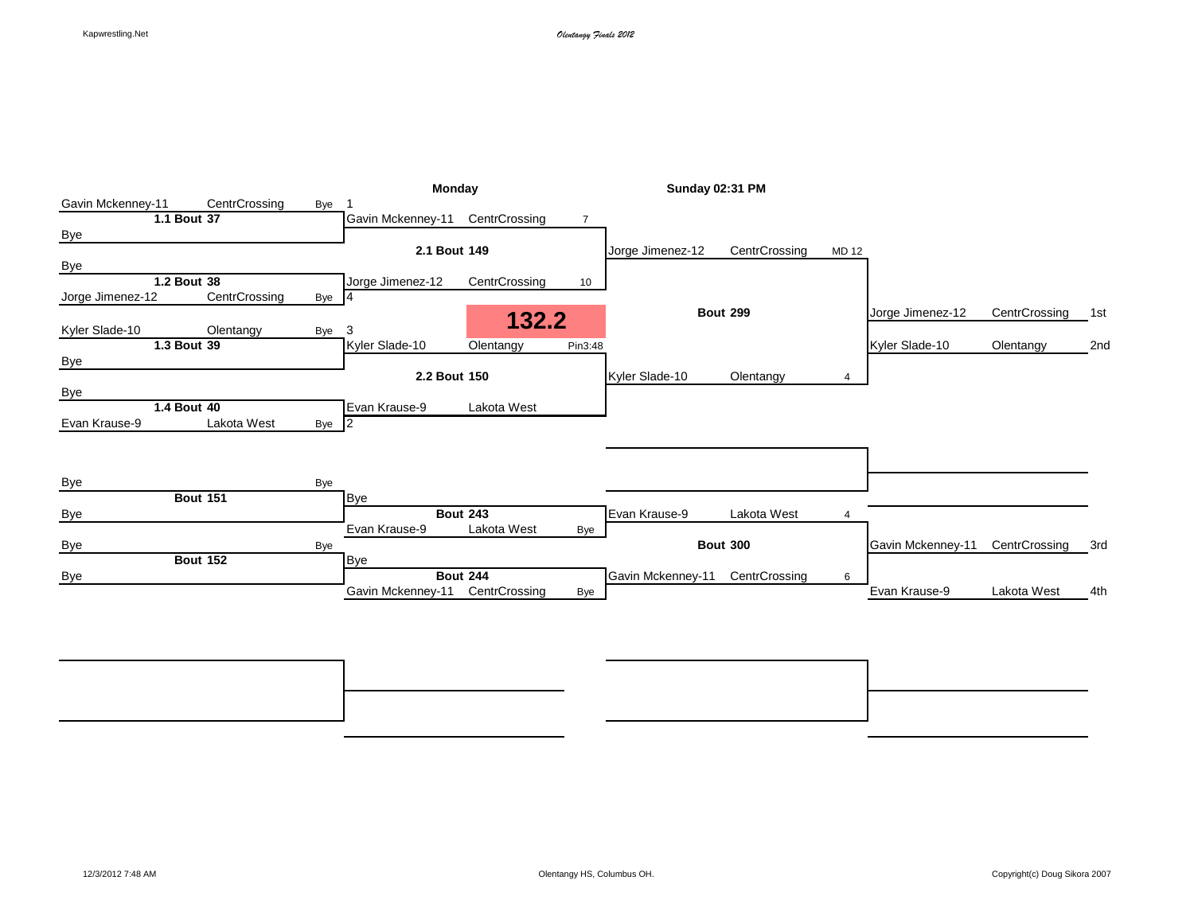|                   |                 |       | <b>Monday</b>     |                 |                 | <b>Sunday 02:31 PM</b> |                 |                |                   |               |     |
|-------------------|-----------------|-------|-------------------|-----------------|-----------------|------------------------|-----------------|----------------|-------------------|---------------|-----|
| Gavin Mckenney-11 | CentrCrossing   | Bye   |                   |                 |                 |                        |                 |                |                   |               |     |
|                   | 1.1 Bout 37     |       | Gavin Mckenney-11 | CentrCrossing   | $\overline{7}$  |                        |                 |                |                   |               |     |
| <b>Bye</b>        |                 |       |                   |                 |                 |                        |                 |                |                   |               |     |
|                   |                 |       | 2.1 Bout 149      |                 |                 | Jorge Jimenez-12       | CentrCrossing   | MD 12          |                   |               |     |
| <b>Bye</b>        |                 |       |                   |                 |                 |                        |                 |                |                   |               |     |
|                   | 1.2 Bout 38     |       | Jorge Jimenez-12  | CentrCrossing   | 10 <sup>1</sup> |                        |                 |                |                   |               |     |
| Jorge Jimenez-12  | CentrCrossing   | Bye 4 |                   |                 |                 |                        |                 |                |                   |               |     |
|                   |                 |       |                   | 132.2           |                 |                        | <b>Bout 299</b> |                | Jorge Jimenez-12  | CentrCrossing | 1st |
| Kyler Slade-10    | Olentangy       | Bye   | 3                 |                 |                 |                        |                 |                |                   |               |     |
|                   | 1.3 Bout 39     |       | Kyler Slade-10    | Olentangy       | Pin3:48         |                        |                 |                | Kyler Slade-10    | Olentangy     | 2nd |
| <b>Bye</b>        |                 |       |                   |                 |                 |                        |                 |                |                   |               |     |
|                   |                 |       | 2.2 Bout 150      |                 |                 | Kyler Slade-10         | Olentangy       | 4              |                   |               |     |
| <b>Bye</b>        |                 |       |                   |                 |                 |                        |                 |                |                   |               |     |
|                   | 1.4 Bout 40     |       | Evan Krause-9     | Lakota West     |                 |                        |                 |                |                   |               |     |
| Evan Krause-9     | Lakota West     | Bye 2 |                   |                 |                 |                        |                 |                |                   |               |     |
|                   |                 |       |                   |                 |                 |                        |                 |                |                   |               |     |
|                   |                 |       |                   |                 |                 |                        |                 |                |                   |               |     |
|                   |                 |       |                   |                 |                 |                        |                 |                |                   |               |     |
| Bye               |                 | Bye   |                   |                 |                 |                        |                 |                |                   |               |     |
|                   | <b>Bout 151</b> |       | <b>Bye</b>        |                 |                 |                        |                 |                |                   |               |     |
| <b>Bye</b>        |                 |       |                   | <b>Bout 243</b> |                 | Evan Krause-9          | Lakota West     | $\overline{4}$ |                   |               |     |
|                   |                 |       | Evan Krause-9     | Lakota West     | Bye             |                        |                 |                |                   |               |     |
| Bye               |                 | Bye   |                   |                 |                 |                        | <b>Bout 300</b> |                | Gavin Mckenney-11 | CentrCrossing | 3rd |
|                   | <b>Bout 152</b> |       | Bye               |                 |                 |                        |                 |                |                   |               |     |
| Bye               |                 |       |                   | <b>Bout 244</b> |                 | Gavin Mckenney-11      | CentrCrossing   | 6              |                   |               |     |
|                   |                 |       |                   |                 |                 |                        |                 |                | Evan Krause-9     | Lakota West   | 4th |

**Bout 356** 7th **Bout 355** 5th Bye Bye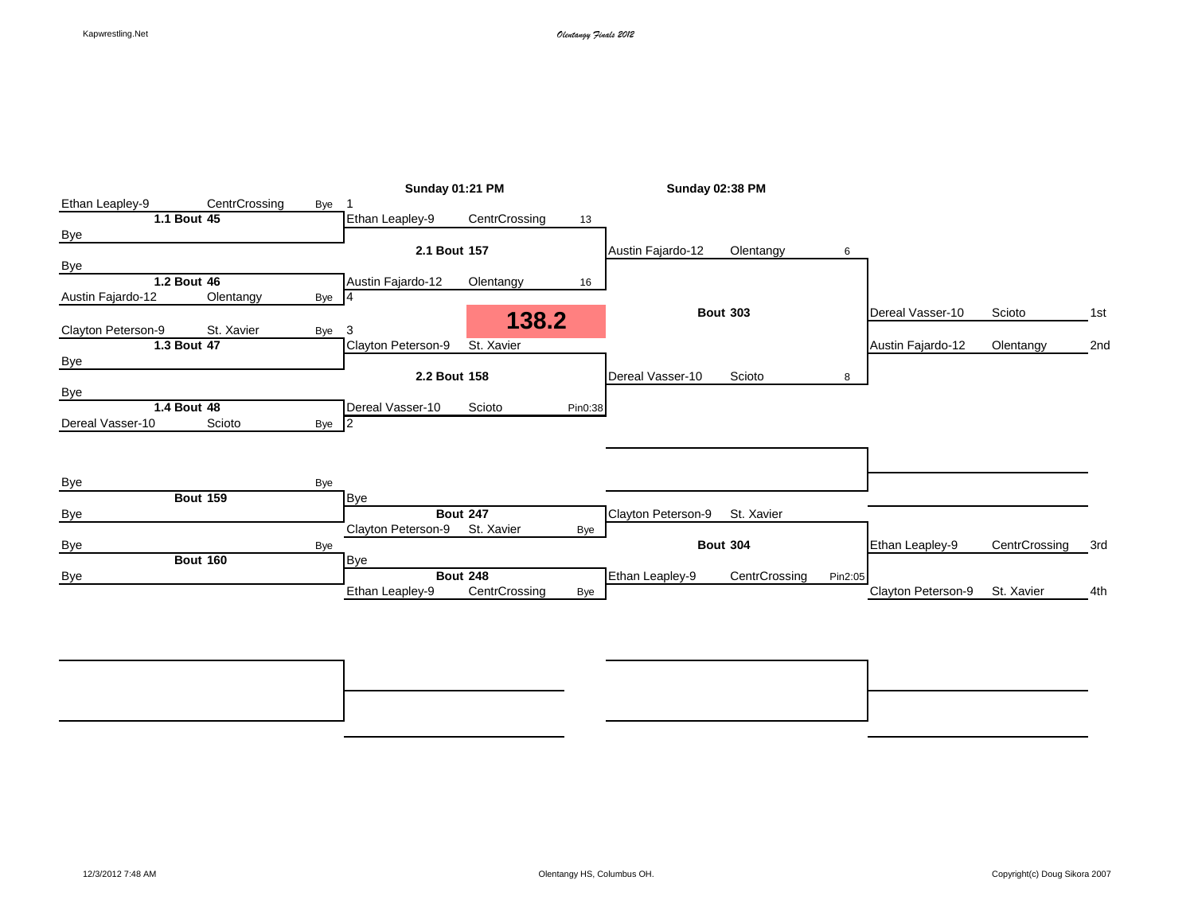|                    |                 |       | <b>Sunday 01:21 PM</b> |                 |         | <b>Sunday 02:38 PM</b> |                 |         |                    |               |     |
|--------------------|-----------------|-------|------------------------|-----------------|---------|------------------------|-----------------|---------|--------------------|---------------|-----|
| Ethan Leapley-9    | CentrCrossing   | Bye   |                        |                 |         |                        |                 |         |                    |               |     |
|                    | 1.1 Bout 45     |       | Ethan Leapley-9        | CentrCrossing   | 13      |                        |                 |         |                    |               |     |
| Bye                |                 |       |                        |                 |         |                        |                 |         |                    |               |     |
|                    |                 |       | 2.1 Bout 157           |                 |         | Austin Fajardo-12      | Olentangy       | 6       |                    |               |     |
| <b>Bye</b>         |                 |       |                        |                 |         |                        |                 |         |                    |               |     |
|                    | 1.2 Bout 46     |       | Austin Fajardo-12      | Olentangy       | 16      |                        |                 |         |                    |               |     |
| Austin Fajardo-12  | Olentangy       | Bye 4 |                        |                 |         |                        |                 |         |                    |               |     |
|                    |                 |       |                        | 138.2           |         |                        | <b>Bout 303</b> |         | Dereal Vasser-10   | Scioto        | 1st |
| Clayton Peterson-9 | St. Xavier      | Bye   | 3                      |                 |         |                        |                 |         |                    |               |     |
|                    | 1.3 Bout 47     |       | Clayton Peterson-9     | St. Xavier      |         |                        |                 |         | Austin Fajardo-12  | Olentangy     | 2nd |
| Bye                |                 |       |                        |                 |         |                        |                 |         |                    |               |     |
|                    |                 |       | 2.2 Bout 158           |                 |         | Dereal Vasser-10       | Scioto          | 8       |                    |               |     |
| Bye                |                 |       |                        |                 |         |                        |                 |         |                    |               |     |
|                    | 1.4 Bout 48     |       | Dereal Vasser-10       | Scioto          | Pin0:38 |                        |                 |         |                    |               |     |
| Dereal Vasser-10   | Scioto          | Bye 2 |                        |                 |         |                        |                 |         |                    |               |     |
|                    |                 |       |                        |                 |         |                        |                 |         |                    |               |     |
|                    |                 |       |                        |                 |         |                        |                 |         |                    |               |     |
|                    |                 |       |                        |                 |         |                        |                 |         |                    |               |     |
| <b>Bye</b>         |                 | Bye   |                        |                 |         |                        |                 |         |                    |               |     |
|                    | <b>Bout 159</b> |       | <b>Bye</b>             |                 |         |                        |                 |         |                    |               |     |
| <b>Bye</b>         |                 |       |                        | <b>Bout 247</b> |         | Clayton Peterson-9     | St. Xavier      |         |                    |               |     |
|                    |                 |       | Clayton Peterson-9     | St. Xavier      | Bye     |                        |                 |         |                    |               |     |
| <b>Bye</b>         |                 | Bye   |                        |                 |         |                        | <b>Bout 304</b> |         | Ethan Leapley-9    | CentrCrossing | 3rd |
|                    | <b>Bout 160</b> |       | <b>Bye</b>             |                 |         |                        |                 |         |                    |               |     |
| <b>Bye</b>         |                 |       |                        | <b>Bout 248</b> |         | Ethan Leapley-9        | CentrCrossing   | Pin2:05 |                    |               |     |
|                    |                 |       | Ethan Leapley-9        | CentrCrossing   | Bye     |                        |                 |         | Clayton Peterson-9 | St. Xavier    | 4th |

**Bout 360** 7th **Bout 359** 5th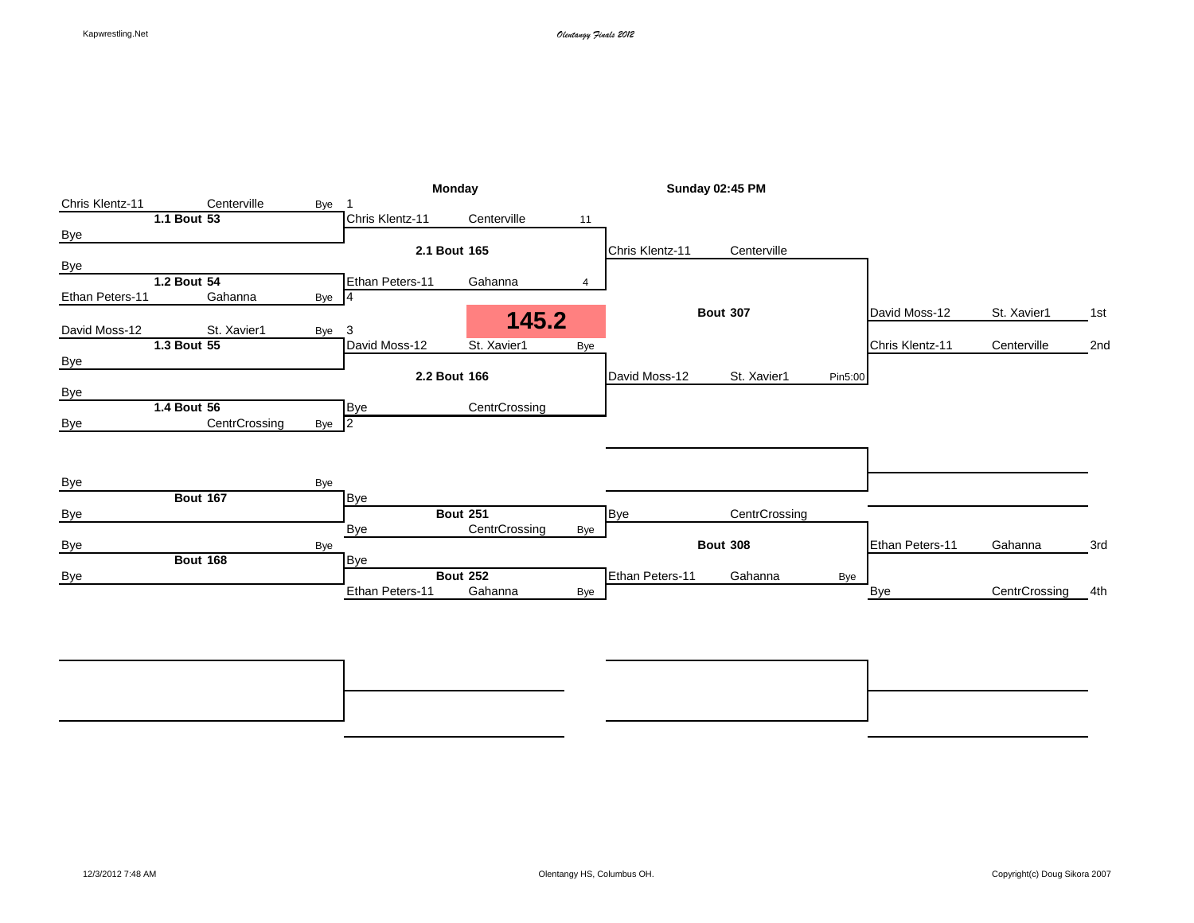|                 |                 |       |                 | Monday                     |     |                 | <b>Sunday 02:45 PM</b> |         |                 |               |     |
|-----------------|-----------------|-------|-----------------|----------------------------|-----|-----------------|------------------------|---------|-----------------|---------------|-----|
| Chris Klentz-11 | Centerville     | Bye   |                 |                            |     |                 |                        |         |                 |               |     |
|                 | 1.1 Bout 53     |       | Chris Klentz-11 | Centerville                | 11  |                 |                        |         |                 |               |     |
| Bye             |                 |       |                 |                            |     |                 |                        |         |                 |               |     |
|                 |                 |       |                 | 2.1 Bout 165               |     | Chris Klentz-11 | Centerville            |         |                 |               |     |
| Bye             |                 |       |                 |                            |     |                 |                        |         |                 |               |     |
|                 | 1.2 Bout 54     |       | Ethan Peters-11 | Gahanna                    |     |                 |                        |         |                 |               |     |
| Ethan Peters-11 | Gahanna         | Bye 4 |                 |                            |     |                 |                        |         |                 |               |     |
|                 |                 |       |                 | 145.2                      |     |                 | <b>Bout 307</b>        |         | David Moss-12   | St. Xavier1   | 1st |
| David Moss-12   | St. Xavier1     | Bye 3 |                 |                            |     |                 |                        |         |                 |               |     |
|                 | 1.3 Bout 55     |       | David Moss-12   | St. Xavier1                | Bye |                 |                        |         | Chris Klentz-11 | Centerville   | 2nd |
| <b>Bye</b>      |                 |       |                 |                            |     |                 |                        |         |                 |               |     |
|                 |                 |       |                 | 2.2 Bout 166               |     | David Moss-12   | St. Xavier1            | Pin5:00 |                 |               |     |
| Bye             |                 |       |                 |                            |     |                 |                        |         |                 |               |     |
|                 | 1.4 Bout 56     |       | Bye             | CentrCrossing              |     |                 |                        |         |                 |               |     |
| <b>Bye</b>      | CentrCrossing   | Bye 2 |                 |                            |     |                 |                        |         |                 |               |     |
|                 |                 |       |                 |                            |     |                 |                        |         |                 |               |     |
|                 |                 |       |                 |                            |     |                 |                        |         |                 |               |     |
|                 |                 |       |                 |                            |     |                 |                        |         |                 |               |     |
| Bye             |                 | Bye   |                 |                            |     |                 |                        |         |                 |               |     |
|                 | <b>Bout 167</b> |       | <b>Bye</b>      |                            |     |                 |                        |         |                 |               |     |
| <b>Bye</b>      |                 |       |                 | <b>Bout 251</b>            |     | <b>Bye</b>      | CentrCrossing          |         |                 |               |     |
|                 |                 |       | Bye             | CentrCrossing              | Bye |                 |                        |         |                 |               |     |
| <b>Bye</b>      |                 | Bye   |                 |                            |     |                 | <b>Bout 308</b>        |         | Ethan Peters-11 | Gahanna       | 3rd |
|                 | <b>Bout 168</b> |       | <b>Bye</b>      |                            |     |                 |                        |         |                 |               |     |
| Bye             |                 |       | Ethan Peters-11 | <b>Bout 252</b><br>Gahanna |     | Ethan Peters-11 | Gahanna                | Bye     |                 | CentrCrossing |     |
|                 |                 |       |                 |                            | Bye |                 |                        |         | <b>Bye</b>      |               | 4th |

**Bout 364** 7th **Bout 363** 5th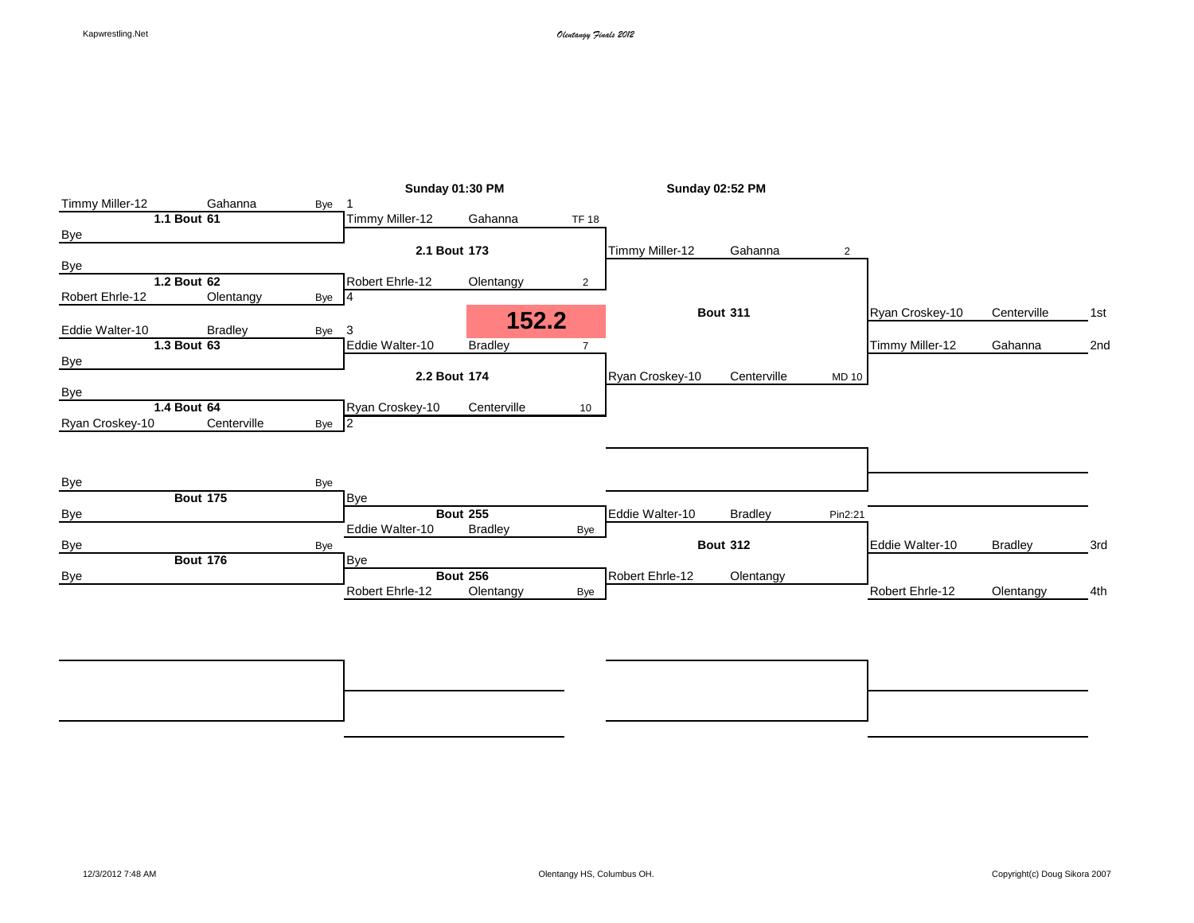|                 |                 |       |                 | Sunday 01:30 PM |                |                 | Sunday 02:52 PM |              |                 |                |     |
|-----------------|-----------------|-------|-----------------|-----------------|----------------|-----------------|-----------------|--------------|-----------------|----------------|-----|
| Timmy Miller-12 | Gahanna         | Bye   |                 |                 |                |                 |                 |              |                 |                |     |
|                 | 1.1 Bout 61     |       | Timmy Miller-12 | Gahanna         | <b>TF 18</b>   |                 |                 |              |                 |                |     |
| Bye             |                 |       |                 |                 |                |                 |                 |              |                 |                |     |
|                 |                 |       |                 | 2.1 Bout 173    |                | Timmy Miller-12 | Gahanna         | 2            |                 |                |     |
| <b>Bye</b>      |                 |       |                 |                 |                |                 |                 |              |                 |                |     |
|                 | 1.2 Bout 62     |       | Robert Ehrle-12 | Olentangy       | $\overline{2}$ |                 |                 |              |                 |                |     |
| Robert Ehrle-12 | Olentangy       | Bye 4 |                 |                 |                |                 |                 |              |                 |                |     |
| Eddie Walter-10 | <b>Bradley</b>  | Bye   | 3               | 152.2           |                |                 | <b>Bout 311</b> |              | Ryan Croskey-10 | Centerville    | 1st |
|                 | 1.3 Bout 63     |       | Eddie Walter-10 | <b>Bradley</b>  | $\overline{7}$ |                 |                 |              | Timmy Miller-12 | Gahanna        | 2nd |
| <b>Bye</b>      |                 |       |                 |                 |                |                 |                 |              |                 |                |     |
|                 |                 |       |                 | 2.2 Bout 174    |                | Ryan Croskey-10 | Centerville     | <b>MD 10</b> |                 |                |     |
| <b>Bye</b>      |                 |       |                 |                 |                |                 |                 |              |                 |                |     |
|                 | 1.4 Bout 64     |       | Ryan Croskey-10 | Centerville     | 10             |                 |                 |              |                 |                |     |
| Ryan Croskey-10 | Centerville     | Bye 2 |                 |                 |                |                 |                 |              |                 |                |     |
|                 |                 |       |                 |                 |                |                 |                 |              |                 |                |     |
|                 |                 | Bye   |                 |                 |                |                 |                 |              |                 |                |     |
| <b>Bye</b>      | <b>Bout 175</b> |       | <b>Bye</b>      |                 |                |                 |                 |              |                 |                |     |
| Bye             |                 |       |                 | <b>Bout 255</b> |                | Eddie Walter-10 | <b>Bradley</b>  | Pin2:21      |                 |                |     |
|                 |                 |       | Eddie Walter-10 | <b>Bradley</b>  | Bye            |                 |                 |              |                 |                |     |
| <b>Bye</b>      |                 | Bye   |                 |                 |                |                 | <b>Bout 312</b> |              | Eddie Walter-10 | <b>Bradley</b> | 3rd |
|                 | <b>Bout 176</b> |       | <b>Bye</b>      |                 |                |                 |                 |              |                 |                |     |
| <b>Bye</b>      |                 |       |                 | <b>Bout 256</b> |                | Robert Ehrle-12 | Olentangy       |              |                 |                |     |
|                 |                 |       | Robert Ehrle-12 | Olentangy       | Bye            |                 |                 |              | Robert Ehrle-12 | Olentangy      | 4th |
|                 |                 |       |                 |                 |                |                 |                 |              |                 |                |     |
|                 |                 |       |                 |                 |                |                 |                 |              |                 |                |     |

**Bout 368** 7th **Bout 367** 5th Bye Bye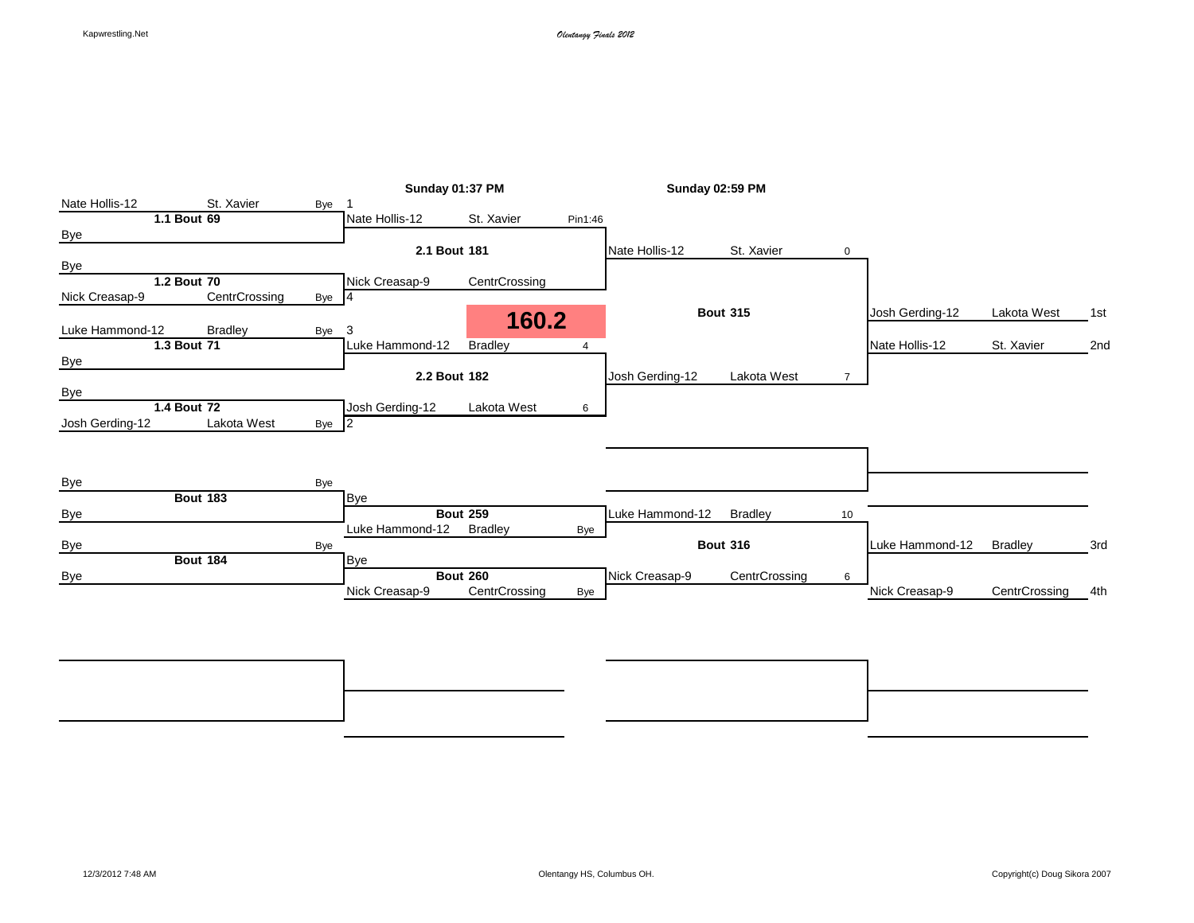|                 |                 |                  | <b>Sunday 01:37 PM</b> |                 |                | <b>Sunday 02:59 PM</b> |                 |             |                 |                |     |
|-----------------|-----------------|------------------|------------------------|-----------------|----------------|------------------------|-----------------|-------------|-----------------|----------------|-----|
| Nate Hollis-12  | St. Xavier      | Bye              |                        |                 |                |                        |                 |             |                 |                |     |
|                 | 1.1 Bout 69     |                  | Nate Hollis-12         | St. Xavier      | Pin1:46        |                        |                 |             |                 |                |     |
| <b>Bye</b>      |                 |                  |                        |                 |                |                        |                 |             |                 |                |     |
|                 |                 |                  | 2.1 Bout 181           |                 |                | Nate Hollis-12         | St. Xavier      | 0           |                 |                |     |
| Bye             |                 |                  |                        |                 |                |                        |                 |             |                 |                |     |
|                 | 1.2 Bout 70     |                  | Nick Creasap-9         | CentrCrossing   |                |                        |                 |             |                 |                |     |
| Nick Creasap-9  | CentrCrossing   | Bye 4            |                        |                 |                |                        |                 |             |                 |                |     |
|                 |                 |                  |                        | 160.2           |                |                        | <b>Bout 315</b> |             | Josh Gerding-12 | Lakota West    | 1st |
| Luke Hammond-12 | <b>Bradley</b>  | Bye              | 3                      |                 |                |                        |                 |             |                 |                |     |
|                 | 1.3 Bout 71     |                  | Luke Hammond-12        | <b>Bradley</b>  | $\overline{4}$ |                        |                 |             | Nate Hollis-12  | St. Xavier     | 2nd |
| <b>Bye</b>      |                 |                  |                        |                 |                |                        |                 |             |                 |                |     |
|                 |                 |                  | 2.2 Bout 182           |                 |                | Josh Gerding-12        | Lakota West     | $7^{\circ}$ |                 |                |     |
| Bye             |                 |                  |                        |                 |                |                        |                 |             |                 |                |     |
|                 | 1.4 Bout 72     |                  | Josh Gerding-12        | Lakota West     | 6              |                        |                 |             |                 |                |     |
| Josh Gerding-12 | Lakota West     | Bye <sub>2</sub> |                        |                 |                |                        |                 |             |                 |                |     |
|                 |                 |                  |                        |                 |                |                        |                 |             |                 |                |     |
|                 |                 |                  |                        |                 |                |                        |                 |             |                 |                |     |
|                 |                 |                  |                        |                 |                |                        |                 |             |                 |                |     |
| Bye             |                 | Bye              |                        |                 |                |                        |                 |             |                 |                |     |
|                 | <b>Bout 183</b> |                  | <b>Bye</b>             |                 |                |                        |                 |             |                 |                |     |
| <b>Bye</b>      |                 |                  |                        | <b>Bout 259</b> |                | Luke Hammond-12        | <b>Bradley</b>  | 10          |                 |                |     |
|                 |                 |                  | Luke Hammond-12        | <b>Bradley</b>  | Bye            |                        |                 |             |                 |                |     |
| <b>Bye</b>      |                 | Bye              |                        |                 |                |                        | <b>Bout 316</b> |             | Luke Hammond-12 | <b>Bradley</b> | 3rd |
|                 | <b>Bout 184</b> |                  | <b>Bye</b>             |                 |                |                        |                 |             |                 |                |     |
| Bye             |                 |                  |                        | <b>Bout 260</b> |                | Nick Creasap-9         | CentrCrossing   | 6           |                 |                |     |
|                 |                 |                  | Nick Creasap-9         | CentrCrossing   | Bye            |                        |                 |             | Nick Creasap-9  | CentrCrossing  | 4th |
|                 |                 |                  |                        |                 |                |                        |                 |             |                 |                |     |
|                 |                 |                  |                        |                 |                |                        |                 |             |                 |                |     |

**Bout 372** 7th **Bout 371** 5th Bye Bye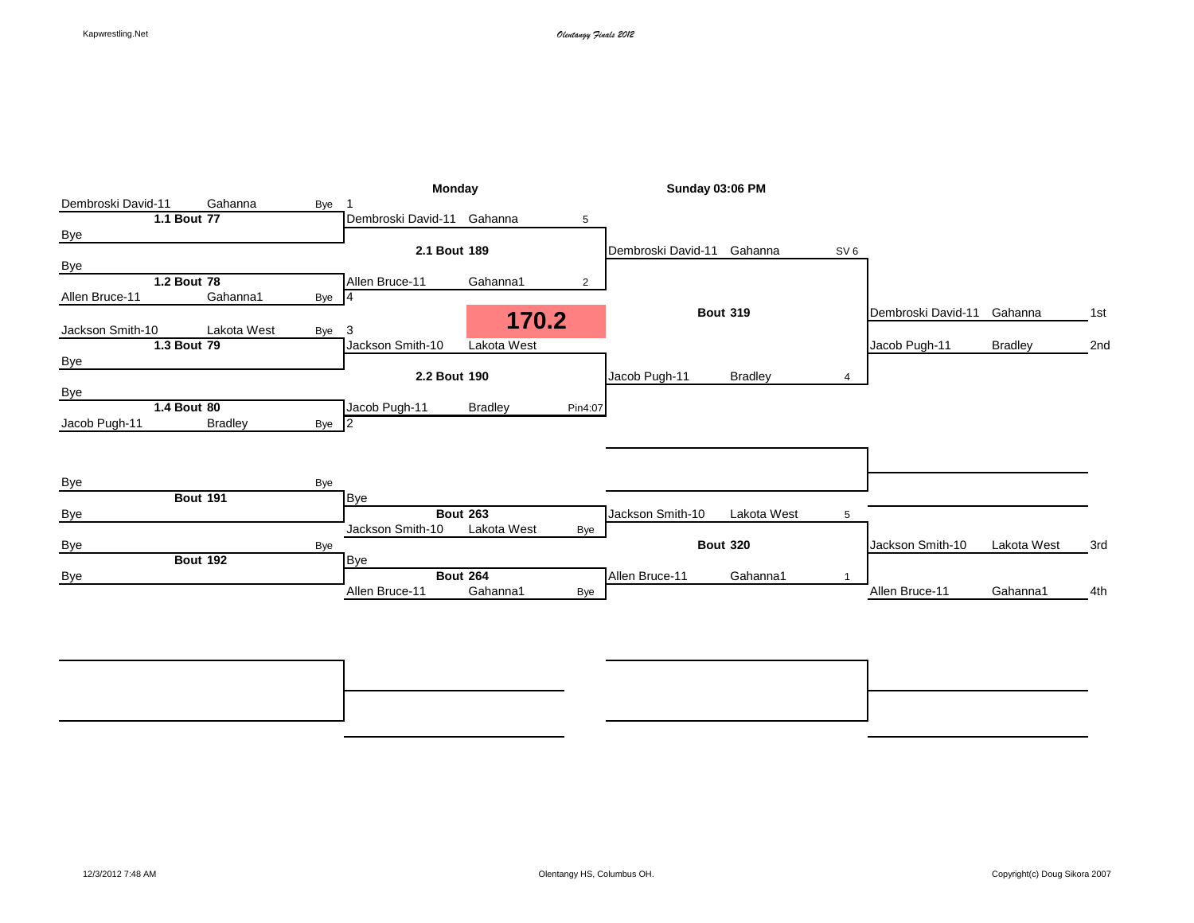|                    |                 |                    | <b>Monday</b>              |                 |                | <b>Sunday 03:06 PM</b> |                 |                 |                    |                |     |
|--------------------|-----------------|--------------------|----------------------------|-----------------|----------------|------------------------|-----------------|-----------------|--------------------|----------------|-----|
| Dembroski David-11 | Gahanna         | Bye                |                            |                 |                |                        |                 |                 |                    |                |     |
|                    | 1.1 Bout 77     |                    | Dembroski David-11 Gahanna |                 | 5              |                        |                 |                 |                    |                |     |
| <b>Bye</b>         |                 |                    |                            |                 |                |                        |                 |                 |                    |                |     |
|                    |                 |                    | 2.1 Bout 189               |                 |                | Dembroski David-11     | Gahanna         | SV <sub>6</sub> |                    |                |     |
| <b>Bye</b>         |                 |                    |                            |                 |                |                        |                 |                 |                    |                |     |
|                    | 1.2 Bout 78     |                    | Allen Bruce-11             | Gahanna1        | $\overline{2}$ |                        |                 |                 |                    |                |     |
| Allen Bruce-11     | Gahanna1        | Bye 4              |                            |                 |                |                        |                 |                 |                    |                |     |
| Jackson Smith-10   |                 | Lakota West<br>Bye | 3                          | 170.2           |                |                        | <b>Bout 319</b> |                 | Dembroski David-11 | Gahanna        | 1st |
|                    | 1.3 Bout 79     |                    | Jackson Smith-10           | Lakota West     |                |                        |                 |                 | Jacob Pugh-11      | <b>Bradley</b> | 2nd |
| <b>Bye</b>         |                 |                    |                            |                 |                |                        |                 |                 |                    |                |     |
|                    |                 |                    | 2.2 Bout 190               |                 |                | Jacob Pugh-11          | <b>Bradley</b>  | Δ               |                    |                |     |
| Bye                |                 |                    |                            |                 |                |                        |                 |                 |                    |                |     |
|                    | 1.4 Bout 80     |                    | Jacob Pugh-11              | <b>Bradley</b>  | Pin4:07        |                        |                 |                 |                    |                |     |
| Jacob Pugh-11      | <b>Bradley</b>  | Bye <sub>2</sub>   |                            |                 |                |                        |                 |                 |                    |                |     |
|                    |                 |                    |                            |                 |                |                        |                 |                 |                    |                |     |
|                    |                 |                    |                            |                 |                |                        |                 |                 |                    |                |     |
| Bye                |                 | Bye                |                            |                 |                |                        |                 |                 |                    |                |     |
|                    | <b>Bout 191</b> |                    | <b>Bye</b>                 |                 |                |                        |                 |                 |                    |                |     |
| <b>Bye</b>         |                 |                    |                            | <b>Bout 263</b> |                | Jackson Smith-10       | Lakota West     | 5               |                    |                |     |
|                    |                 |                    | Jackson Smith-10           | Lakota West     | Bye            |                        |                 |                 |                    |                |     |
| <b>Bye</b>         |                 | Bye                |                            |                 |                |                        | <b>Bout 320</b> |                 | Jackson Smith-10   | Lakota West    | 3rd |
|                    | <b>Bout 192</b> |                    | <b>Bye</b>                 |                 |                |                        |                 |                 |                    |                |     |
| Bye                |                 |                    |                            | <b>Bout 264</b> |                | Allen Bruce-11         | Gahanna1        |                 |                    |                |     |
|                    |                 |                    | Allen Bruce-11             | Gahanna1        | Bye            |                        |                 |                 | Allen Bruce-11     | Gahanna1       | 4th |
|                    |                 |                    |                            |                 |                |                        |                 |                 |                    |                |     |
|                    |                 |                    |                            |                 |                |                        |                 |                 |                    |                |     |

**Bout 376** 7th **Bout 375** 5th Bye Bye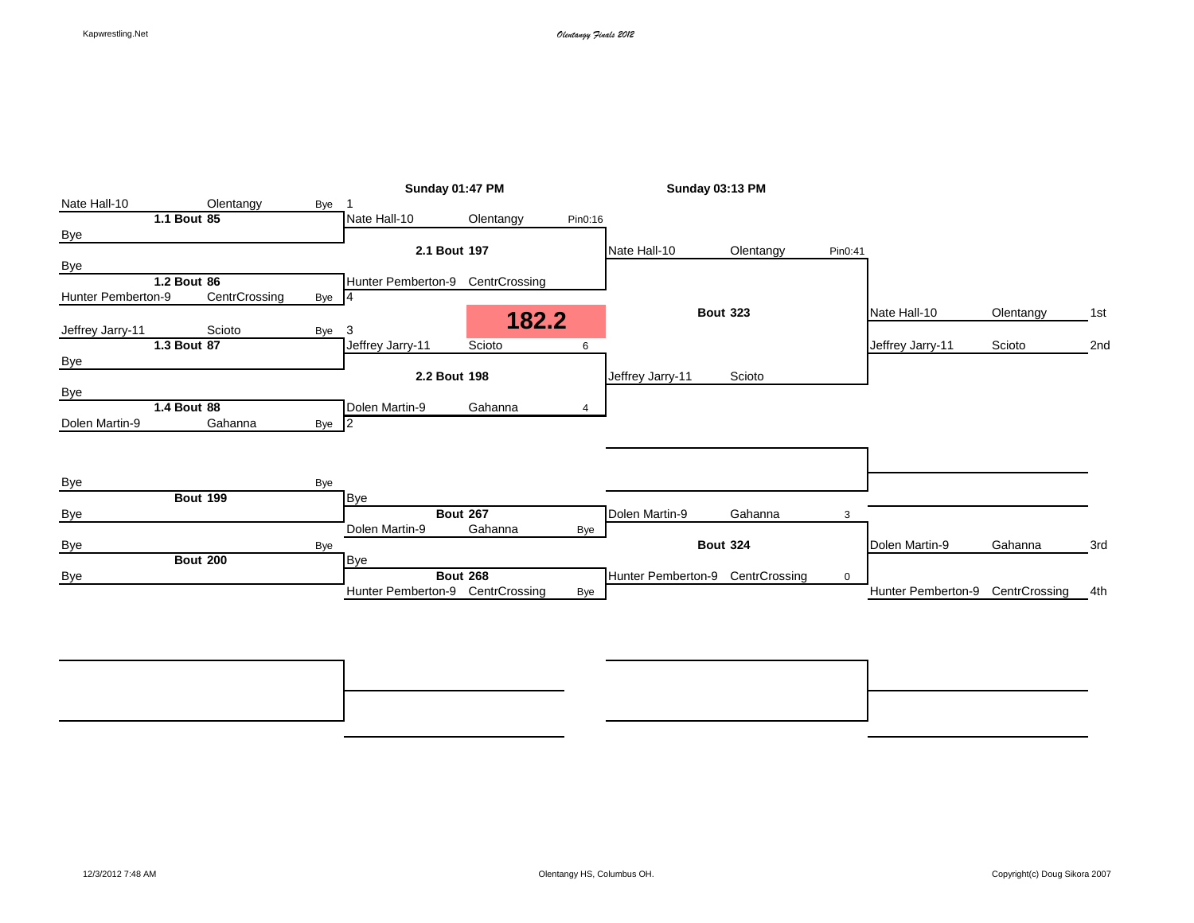|                    |                 |       | <b>Sunday 01:47 PM</b>           |                 |         | <b>Sunday 03:13 PM</b>           |                 |             |                    |               |     |
|--------------------|-----------------|-------|----------------------------------|-----------------|---------|----------------------------------|-----------------|-------------|--------------------|---------------|-----|
| Nate Hall-10       | Olentangy       | Bye   |                                  |                 |         |                                  |                 |             |                    |               |     |
|                    | 1.1 Bout 85     |       | Nate Hall-10                     | Olentangy       | Pin0:16 |                                  |                 |             |                    |               |     |
| <b>Bye</b>         |                 |       |                                  |                 |         |                                  |                 |             |                    |               |     |
|                    |                 |       | 2.1 Bout 197                     |                 |         | Nate Hall-10                     | Olentangy       | Pin0:41     |                    |               |     |
| Bye                |                 |       |                                  |                 |         |                                  |                 |             |                    |               |     |
|                    | 1.2 Bout 86     |       | Hunter Pemberton-9 CentrCrossing |                 |         |                                  |                 |             |                    |               |     |
| Hunter Pemberton-9 | CentrCrossing   | Bye 4 |                                  |                 |         |                                  |                 |             |                    |               |     |
| Jeffrey Jarry-11   | Scioto          | Bye   | 3                                | 182.2           |         |                                  | <b>Bout 323</b> |             | Nate Hall-10       | Olentangy     | 1st |
|                    | 1.3 Bout 87     |       | Jeffrey Jarry-11                 | Scioto          | 6       |                                  |                 |             | Jeffrey Jarry-11   | Scioto        | 2nd |
| Bye                |                 |       |                                  |                 |         |                                  |                 |             |                    |               |     |
|                    |                 |       | 2.2 Bout 198                     |                 |         | Jeffrey Jarry-11                 | Scioto          |             |                    |               |     |
| <b>Bye</b>         |                 |       |                                  |                 |         |                                  |                 |             |                    |               |     |
|                    | 1.4 Bout 88     |       | Dolen Martin-9                   | Gahanna         | 4       |                                  |                 |             |                    |               |     |
| Dolen Martin-9     | Gahanna         | Bye 2 |                                  |                 |         |                                  |                 |             |                    |               |     |
|                    |                 |       |                                  |                 |         |                                  |                 |             |                    |               |     |
|                    |                 |       |                                  |                 |         |                                  |                 |             |                    |               |     |
|                    |                 |       |                                  |                 |         |                                  |                 |             |                    |               |     |
| <b>Bye</b>         |                 | Bye   |                                  |                 |         |                                  |                 |             |                    |               |     |
|                    | <b>Bout 199</b> |       | <b>Bye</b>                       |                 |         |                                  |                 |             |                    |               |     |
| <b>Bye</b>         |                 |       |                                  | <b>Bout 267</b> |         | Dolen Martin-9                   | Gahanna         | 3           |                    |               |     |
|                    |                 |       | Dolen Martin-9                   | Gahanna         | Bye     |                                  |                 |             |                    |               |     |
| Bye                |                 | Bye   |                                  |                 |         |                                  | <b>Bout 324</b> |             | Dolen Martin-9     | Gahanna       | 3rd |
|                    | <b>Bout 200</b> |       | <b>Bye</b>                       |                 |         |                                  |                 |             |                    |               |     |
| Bye                |                 |       |                                  | <b>Bout 268</b> |         | Hunter Pemberton-9 CentrCrossing |                 | $\mathbf 0$ |                    |               |     |
|                    |                 |       | Hunter Pemberton-9               | CentrCrossing   | Bye     |                                  |                 |             | Hunter Pemberton-9 | CentrCrossing | 4th |
|                    |                 |       |                                  |                 |         |                                  |                 |             |                    |               |     |
|                    |                 |       |                                  |                 |         |                                  |                 |             |                    |               |     |

**Bout 380** 7th **Bout 379** 5th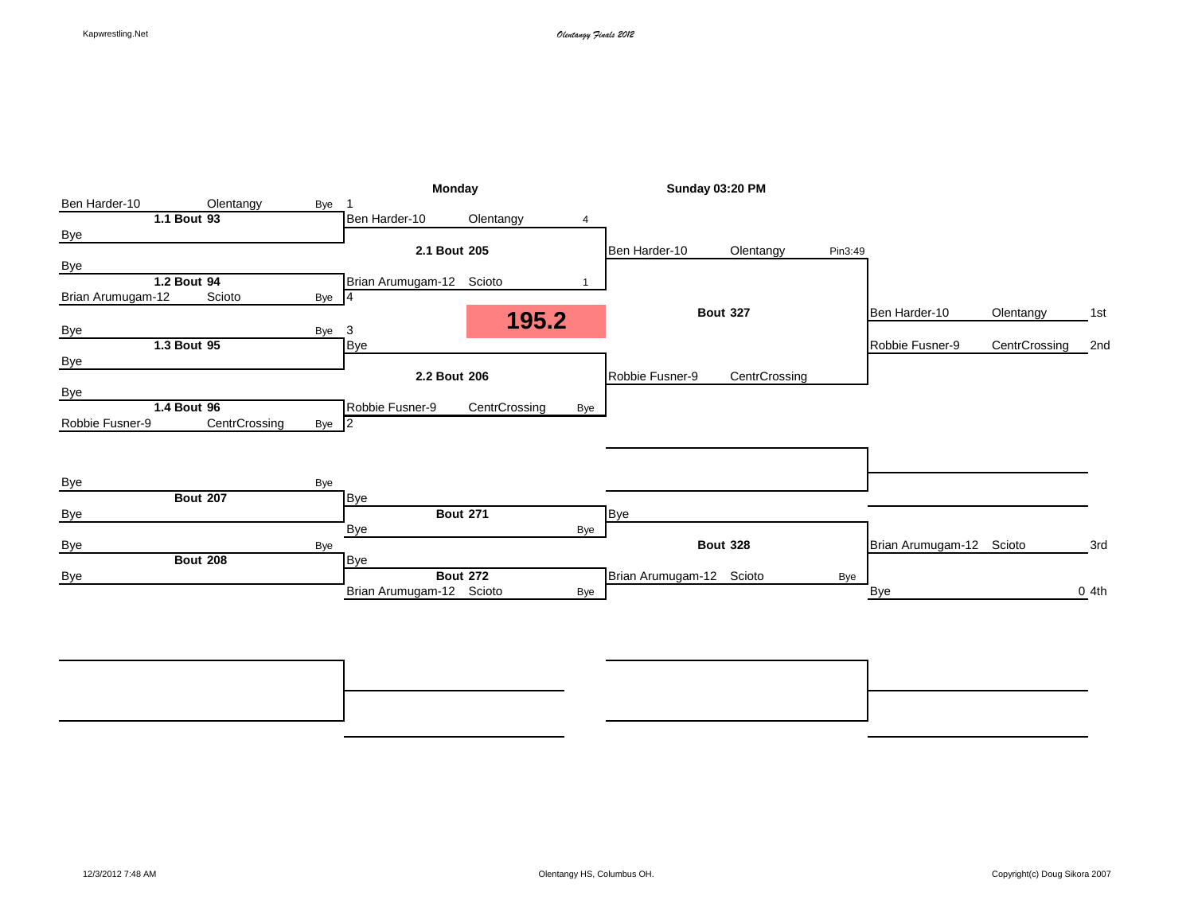|                   |                 |       | Monday                   |                 |     | Sunday 03:20 PM          |                 |         |                          |               |                  |
|-------------------|-----------------|-------|--------------------------|-----------------|-----|--------------------------|-----------------|---------|--------------------------|---------------|------------------|
| Ben Harder-10     | Olentangy       | Bye   |                          |                 |     |                          |                 |         |                          |               |                  |
|                   | 1.1 Bout 93     |       | Ben Harder-10            | Olentangy       | 4   |                          |                 |         |                          |               |                  |
| <b>Bye</b>        |                 |       |                          |                 |     |                          |                 |         |                          |               |                  |
|                   |                 |       | 2.1 Bout 205             |                 |     | Ben Harder-10            | Olentangy       | Pin3:49 |                          |               |                  |
| Bye               |                 |       |                          |                 |     |                          |                 |         |                          |               |                  |
|                   | 1.2 Bout 94     |       | Brian Arumugam-12 Scioto |                 |     |                          |                 |         |                          |               |                  |
| Brian Arumugam-12 | Scioto          | Bye 4 |                          |                 |     |                          |                 |         |                          |               |                  |
|                   |                 |       |                          | 195.2           |     |                          | <b>Bout 327</b> |         | Ben Harder-10            | Olentangy     | 1st              |
| <b>Bye</b>        |                 | Bye 3 |                          |                 |     |                          |                 |         |                          |               |                  |
|                   | 1.3 Bout 95     |       | Bye                      |                 |     |                          |                 |         | Robbie Fusner-9          | CentrCrossing | 2nd              |
| <b>Bye</b>        |                 |       |                          |                 |     |                          |                 |         |                          |               |                  |
|                   |                 |       | 2.2 Bout 206             |                 |     | Robbie Fusner-9          | CentrCrossing   |         |                          |               |                  |
| Bye               |                 |       |                          |                 |     |                          |                 |         |                          |               |                  |
|                   | 1.4 Bout 96     |       | Robbie Fusner-9          | CentrCrossing   | Bye |                          |                 |         |                          |               |                  |
| Robbie Fusner-9   | CentrCrossing   | Bye 2 |                          |                 |     |                          |                 |         |                          |               |                  |
|                   |                 |       |                          |                 |     |                          |                 |         |                          |               |                  |
|                   |                 |       |                          |                 |     |                          |                 |         |                          |               |                  |
| Bye               |                 | Bye   |                          |                 |     |                          |                 |         |                          |               |                  |
|                   | <b>Bout 207</b> |       | <b>Bye</b>               |                 |     |                          |                 |         |                          |               |                  |
| Bye               |                 |       |                          | <b>Bout 271</b> |     | <b>Bye</b>               |                 |         |                          |               |                  |
|                   |                 |       | Bye                      |                 | Bye |                          |                 |         |                          |               |                  |
| Bye               |                 | Bye   |                          |                 |     |                          | <b>Bout 328</b> |         | Brian Arumugam-12 Scioto |               | 3rd              |
|                   | <b>Bout 208</b> |       | Bye                      |                 |     |                          |                 |         |                          |               |                  |
| <b>Bye</b>        |                 |       |                          | <b>Bout 272</b> |     | Brian Arumugam-12 Scioto |                 | Bye     |                          |               |                  |
|                   |                 |       | Brian Arumugam-12 Scioto |                 | Bye |                          |                 |         | Bye                      |               | 0 <sub>4th</sub> |
|                   |                 |       |                          |                 |     |                          |                 |         |                          |               |                  |
|                   |                 |       |                          |                 |     |                          |                 |         |                          |               |                  |
|                   |                 |       |                          |                 |     |                          |                 |         |                          |               |                  |

**Bout 384** 7th **Bout 383** 5th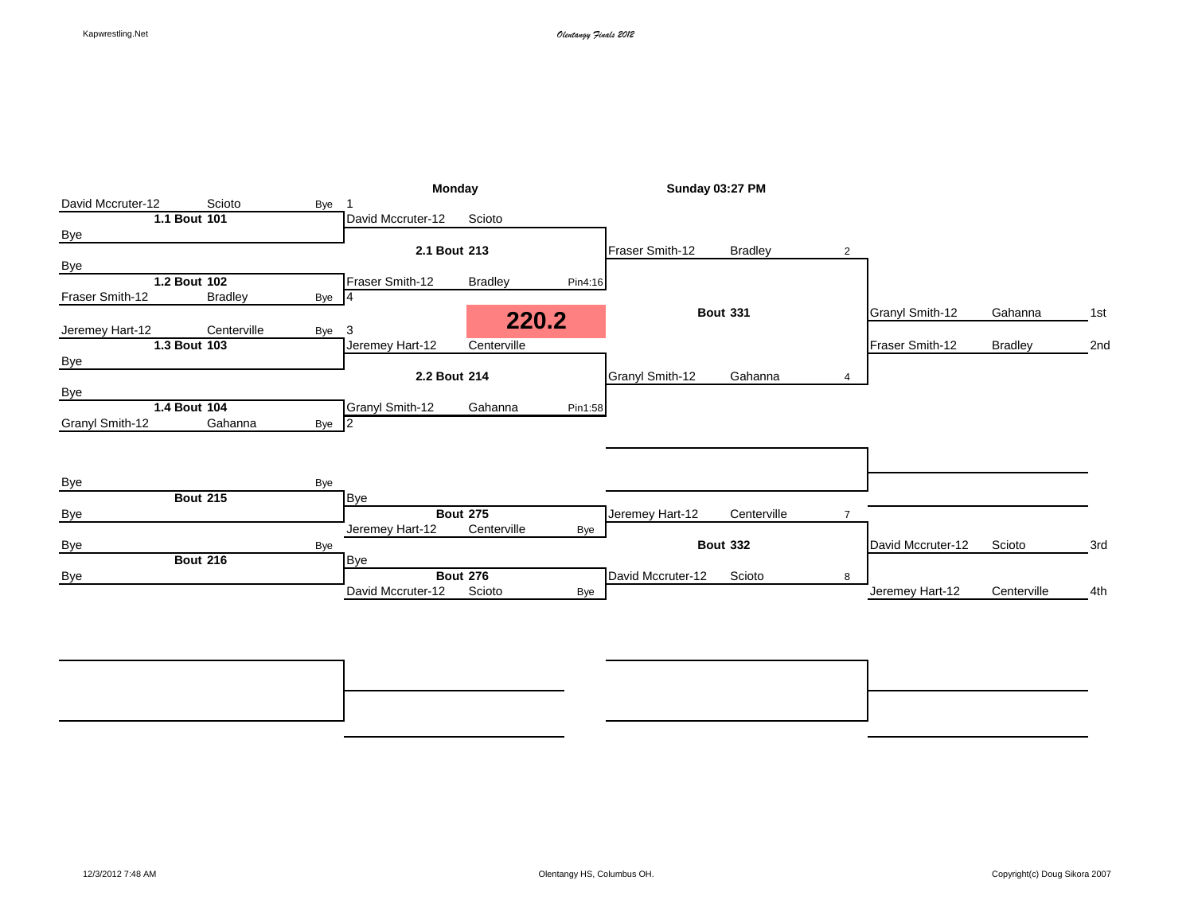|                   |                 |       | Monday            |                 |         | <b>Sunday 03:27 PM</b> |                 |                |                   |                |     |
|-------------------|-----------------|-------|-------------------|-----------------|---------|------------------------|-----------------|----------------|-------------------|----------------|-----|
| David Mccruter-12 | Scioto          | Bye   |                   |                 |         |                        |                 |                |                   |                |     |
|                   | 1.1 Bout 101    |       | David Mccruter-12 | Scioto          |         |                        |                 |                |                   |                |     |
| Bye               |                 |       |                   |                 |         |                        |                 |                |                   |                |     |
|                   |                 |       | 2.1 Bout 213      |                 |         | Fraser Smith-12        | <b>Bradley</b>  | $\overline{2}$ |                   |                |     |
| <b>Bye</b>        |                 |       |                   |                 |         |                        |                 |                |                   |                |     |
|                   | 1.2 Bout 102    |       | Fraser Smith-12   | <b>Bradley</b>  | Pin4:16 |                        |                 |                |                   |                |     |
| Fraser Smith-12   | <b>Bradley</b>  | Bye 4 |                   |                 |         |                        |                 |                |                   |                |     |
|                   |                 |       |                   |                 | 220.2   |                        | <b>Bout 331</b> |                | Granyl Smith-12   | Gahanna        | 1st |
| Jeremey Hart-12   | Centerville     | Bye   | 3                 |                 |         |                        |                 |                |                   |                |     |
|                   | 1.3 Bout 103    |       | Jeremey Hart-12   | Centerville     |         |                        |                 |                | Fraser Smith-12   | <b>Bradley</b> | 2nd |
| <b>Bye</b>        |                 |       |                   |                 |         |                        |                 |                |                   |                |     |
|                   |                 |       | 2.2 Bout 214      |                 |         | <b>Granyl Smith-12</b> | Gahanna         | 4              |                   |                |     |
| <b>Bye</b>        |                 |       |                   |                 |         |                        |                 |                |                   |                |     |
|                   | 1.4 Bout 104    |       | Granyl Smith-12   | Gahanna         | Pin1:58 |                        |                 |                |                   |                |     |
| Granyl Smith-12   | Gahanna         | Bye 2 |                   |                 |         |                        |                 |                |                   |                |     |
|                   |                 |       |                   |                 |         |                        |                 |                |                   |                |     |
|                   |                 |       |                   |                 |         |                        |                 |                |                   |                |     |
|                   |                 |       |                   |                 |         |                        |                 |                |                   |                |     |
| <b>Bye</b>        |                 | Bye   |                   |                 |         |                        |                 |                |                   |                |     |
|                   | <b>Bout 215</b> |       | <b>Bye</b>        |                 |         |                        |                 |                |                   |                |     |
| <b>Bye</b>        |                 |       |                   | <b>Bout 275</b> |         | Jeremey Hart-12        | Centerville     | $\overline{7}$ |                   |                |     |
|                   |                 |       | Jeremey Hart-12   | Centerville     | Bye     |                        |                 |                |                   |                |     |
| <b>Bye</b>        |                 | Bye   |                   |                 |         |                        | <b>Bout 332</b> |                | David Mccruter-12 | Scioto         | 3rd |
|                   | <b>Bout 216</b> |       | Bye               |                 |         |                        |                 |                |                   |                |     |
| Bye               |                 |       |                   | <b>Bout 276</b> |         | David Mccruter-12      | Scioto          | 8              |                   |                |     |
|                   |                 |       | David Mccruter-12 | Scioto          | Bye     |                        |                 |                | Jeremey Hart-12   | Centerville    | 4th |
|                   |                 |       |                   |                 |         |                        |                 |                |                   |                |     |

**Bout 388** 7th **Bout 387** 5th Bye Bye